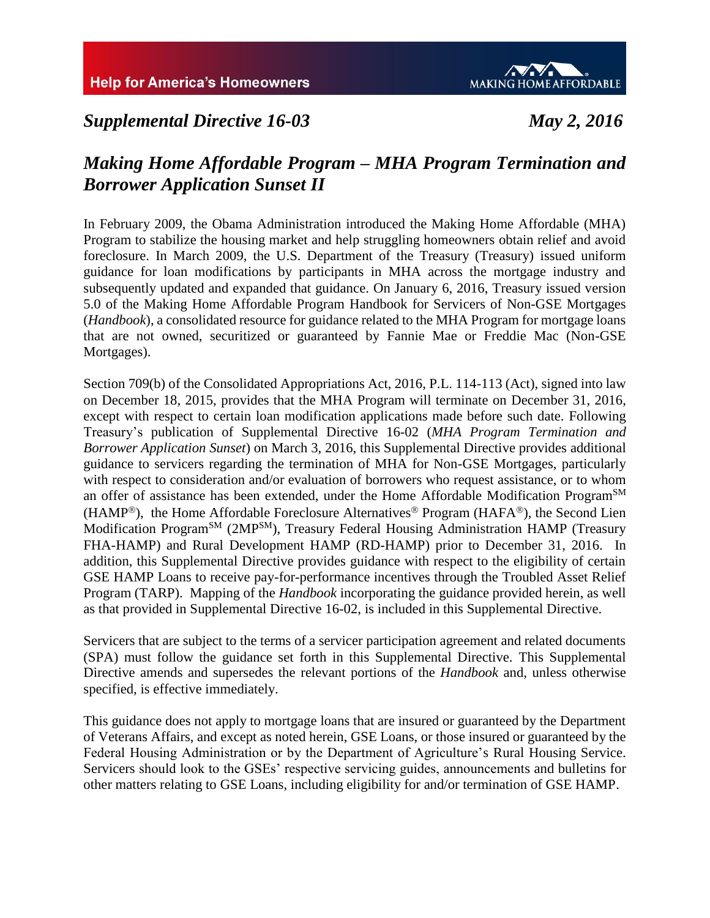

# *Supplemental Directive 16-03 May 2, 2016*

# *Making Home Affordable Program – MHA Program Termination and Borrower Application Sunset II*

In February 2009, the Obama Administration introduced the Making Home Affordable (MHA) Program to stabilize the housing market and help struggling homeowners obtain relief and avoid foreclosure. In March 2009, the U.S. Department of the Treasury (Treasury) issued uniform guidance for loan modifications by participants in MHA across the mortgage industry and subsequently updated and expanded that guidance. On January 6, 2016, Treasury issued version 5.0 of the Making Home Affordable Program Handbook for Servicers of Non-GSE Mortgages (*Handbook*), a consolidated resource for guidance related to the MHA Program for mortgage loans that are not owned, securitized or guaranteed by Fannie Mae or Freddie Mac (Non-GSE Mortgages).

Section 709(b) of the Consolidated Appropriations Act, 2016, P.L. 114-113 (Act), signed into law on December 18, 2015, provides that the MHA Program will terminate on December 31, 2016, except with respect to certain loan modification applications made before such date. Following Treasury's publication of Supplemental Directive 16-02 (*MHA Program Termination and Borrower Application Sunset*) on March 3, 2016, this Supplemental Directive provides additional guidance to servicers regarding the termination of MHA for Non-GSE Mortgages, particularly with respect to consideration and/or evaluation of borrowers who request assistance, or to whom an offer of assistance has been extended, under the Home Affordable Modification Program<sup>SM</sup> (HAMP<sup>®</sup>), the Home Affordable Foreclosure Alternatives<sup>®</sup> Program (HAFA<sup>®</sup>), the Second Lien Modification Program<sup>SM</sup> (2MP<sup>SM</sup>), Treasury Federal Housing Administration HAMP (Treasury FHA-HAMP) and Rural Development HAMP (RD-HAMP) prior to December 31, 2016. In addition, this Supplemental Directive provides guidance with respect to the eligibility of certain GSE HAMP Loans to receive pay-for-performance incentives through the Troubled Asset Relief Program (TARP). Mapping of the *Handbook* incorporating the guidance provided herein, as well as that provided in Supplemental Directive 16-02, is included in this Supplemental Directive.

Servicers that are subject to the terms of a servicer participation agreement and related documents (SPA) must follow the guidance set forth in this Supplemental Directive. This Supplemental Directive amends and supersedes the relevant portions of the *Handbook* and, unless otherwise specified, is effective immediately.

This guidance does not apply to mortgage loans that are insured or guaranteed by the Department of Veterans Affairs, and except as noted herein, GSE Loans, or those insured or guaranteed by the Federal Housing Administration or by the Department of Agriculture's Rural Housing Service. Servicers should look to the GSEs' respective servicing guides, announcements and bulletins for other matters relating to GSE Loans, including eligibility for and/or termination of GSE HAMP.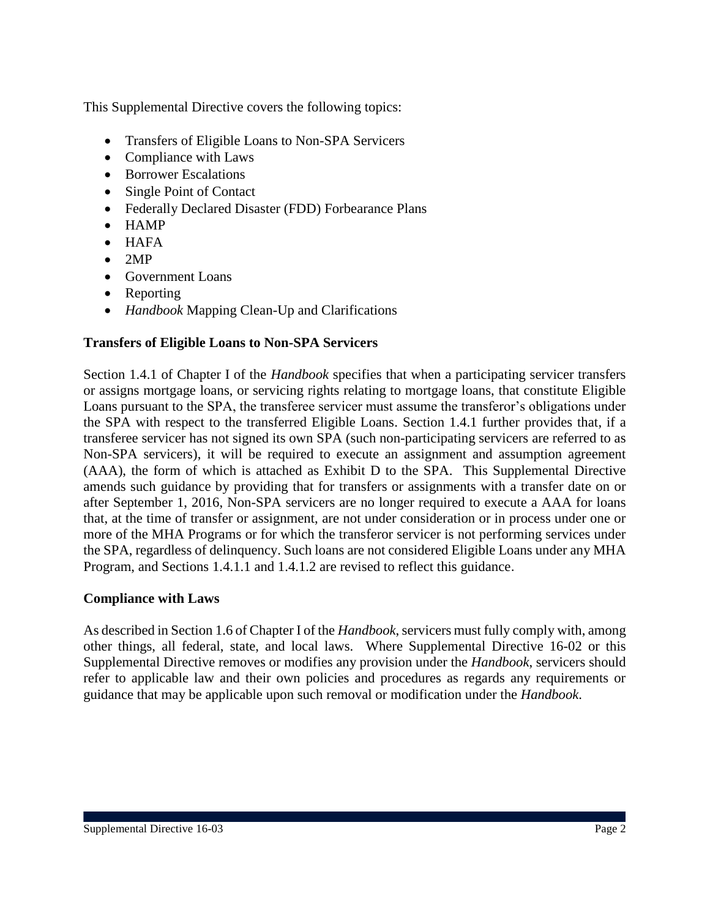This Supplemental Directive covers the following topics:

- Transfers of Eligible Loans to Non-SPA Servicers
- Compliance with Laws
- Borrower Escalations
- Single Point of Contact
- Federally Declared Disaster (FDD) Forbearance Plans
- $\bullet$  HAMP
- $\bullet$  HAFA
- $\bullet$  2MP
- Government Loans
- Reporting
- *Handbook* Mapping Clean-Up and Clarifications

#### **Transfers of Eligible Loans to Non-SPA Servicers**

Section 1.4.1 of Chapter I of the *Handbook* specifies that when a participating servicer transfers or assigns mortgage loans, or servicing rights relating to mortgage loans, that constitute Eligible Loans pursuant to the SPA, the transferee servicer must assume the transferor's obligations under the SPA with respect to the transferred Eligible Loans. Section 1.4.1 further provides that, if a transferee servicer has not signed its own SPA (such non-participating servicers are referred to as Non-SPA servicers), it will be required to execute an assignment and assumption agreement (AAA), the form of which is attached as Exhibit D to the SPA. This Supplemental Directive amends such guidance by providing that for transfers or assignments with a transfer date on or after September 1, 2016, Non-SPA servicers are no longer required to execute a AAA for loans that, at the time of transfer or assignment, are not under consideration or in process under one or more of the MHA Programs or for which the transferor servicer is not performing services under the SPA, regardless of delinquency. Such loans are not considered Eligible Loans under any MHA Program, and Sections 1.4.1.1 and 1.4.1.2 are revised to reflect this guidance.

#### **Compliance with Laws**

As described in Section 1.6 of Chapter I of the *Handbook*, servicers must fully comply with, among other things, all federal, state, and local laws. Where Supplemental Directive 16-02 or this Supplemental Directive removes or modifies any provision under the *Handbook*, servicers should refer to applicable law and their own policies and procedures as regards any requirements or guidance that may be applicable upon such removal or modification under the *Handbook*.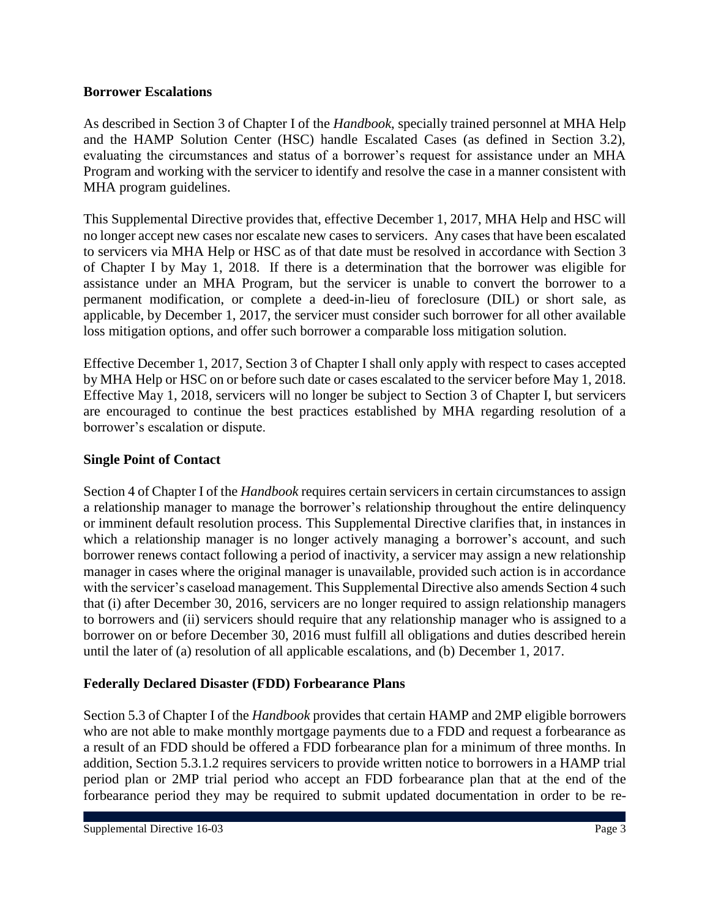#### **Borrower Escalations**

As described in Section 3 of Chapter I of the *Handbook*, specially trained personnel at MHA Help and the HAMP Solution Center (HSC) handle Escalated Cases (as defined in Section 3.2), evaluating the circumstances and status of a borrower's request for assistance under an MHA Program and working with the servicer to identify and resolve the case in a manner consistent with MHA program guidelines.

This Supplemental Directive provides that, effective December 1, 2017, MHA Help and HSC will no longer accept new cases nor escalate new cases to servicers. Any cases that have been escalated to servicers via MHA Help or HSC as of that date must be resolved in accordance with Section 3 of Chapter I by May 1, 2018. If there is a determination that the borrower was eligible for assistance under an MHA Program, but the servicer is unable to convert the borrower to a permanent modification, or complete a deed-in-lieu of foreclosure (DIL) or short sale, as applicable, by December 1, 2017, the servicer must consider such borrower for all other available loss mitigation options, and offer such borrower a comparable loss mitigation solution.

Effective December 1, 2017, Section 3 of Chapter I shall only apply with respect to cases accepted by MHA Help or HSC on or before such date or cases escalated to the servicer before May 1, 2018. Effective May 1, 2018, servicers will no longer be subject to Section 3 of Chapter I, but servicers are encouraged to continue the best practices established by MHA regarding resolution of a borrower's escalation or dispute.

#### **Single Point of Contact**

Section 4 of Chapter I of the *Handbook* requires certain servicers in certain circumstances to assign a relationship manager to manage the borrower's relationship throughout the entire delinquency or imminent default resolution process. This Supplemental Directive clarifies that, in instances in which a relationship manager is no longer actively managing a borrower's account, and such borrower renews contact following a period of inactivity, a servicer may assign a new relationship manager in cases where the original manager is unavailable, provided such action is in accordance with the servicer's caseload management. This Supplemental Directive also amends Section 4 such that (i) after December 30, 2016, servicers are no longer required to assign relationship managers to borrowers and (ii) servicers should require that any relationship manager who is assigned to a borrower on or before December 30, 2016 must fulfill all obligations and duties described herein until the later of (a) resolution of all applicable escalations, and (b) December 1, 2017.

#### **Federally Declared Disaster (FDD) Forbearance Plans**

Section 5.3 of Chapter I of the *Handbook* provides that certain HAMP and 2MP eligible borrowers who are not able to make monthly mortgage payments due to a FDD and request a forbearance as a result of an FDD should be offered a FDD forbearance plan for a minimum of three months. In addition, Section 5.3.1.2 requires servicers to provide written notice to borrowers in a HAMP trial period plan or 2MP trial period who accept an FDD forbearance plan that at the end of the forbearance period they may be required to submit updated documentation in order to be re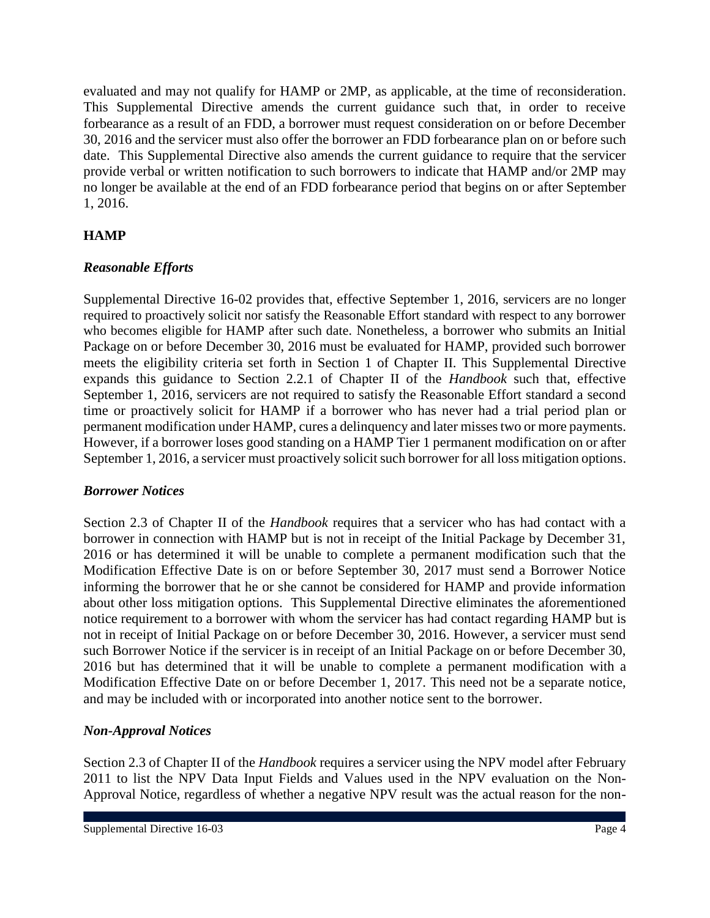evaluated and may not qualify for HAMP or 2MP, as applicable, at the time of reconsideration. This Supplemental Directive amends the current guidance such that, in order to receive forbearance as a result of an FDD, a borrower must request consideration on or before December 30, 2016 and the servicer must also offer the borrower an FDD forbearance plan on or before such date. This Supplemental Directive also amends the current guidance to require that the servicer provide verbal or written notification to such borrowers to indicate that HAMP and/or 2MP may no longer be available at the end of an FDD forbearance period that begins on or after September 1, 2016.

### **HAMP**

### *Reasonable Efforts*

Supplemental Directive 16-02 provides that, effective September 1, 2016, servicers are no longer required to proactively solicit nor satisfy the Reasonable Effort standard with respect to any borrower who becomes eligible for HAMP after such date. Nonetheless, a borrower who submits an Initial Package on or before December 30, 2016 must be evaluated for HAMP, provided such borrower meets the eligibility criteria set forth in Section 1 of Chapter II. This Supplemental Directive expands this guidance to Section 2.2.1 of Chapter II of the *Handbook* such that, effective September 1, 2016, servicers are not required to satisfy the Reasonable Effort standard a second time or proactively solicit for HAMP if a borrower who has never had a trial period plan or permanent modification under HAMP, cures a delinquency and later misses two or more payments. However, if a borrower loses good standing on a HAMP Tier 1 permanent modification on or after September 1, 2016, a servicer must proactively solicit such borrower for all loss mitigation options.

### *Borrower Notices*

Section 2.3 of Chapter II of the *Handbook* requires that a servicer who has had contact with a borrower in connection with HAMP but is not in receipt of the Initial Package by December 31, 2016 or has determined it will be unable to complete a permanent modification such that the Modification Effective Date is on or before September 30, 2017 must send a Borrower Notice informing the borrower that he or she cannot be considered for HAMP and provide information about other loss mitigation options. This Supplemental Directive eliminates the aforementioned notice requirement to a borrower with whom the servicer has had contact regarding HAMP but is not in receipt of Initial Package on or before December 30, 2016. However, a servicer must send such Borrower Notice if the servicer is in receipt of an Initial Package on or before December 30, 2016 but has determined that it will be unable to complete a permanent modification with a Modification Effective Date on or before December 1, 2017. This need not be a separate notice, and may be included with or incorporated into another notice sent to the borrower.

### *Non-Approval Notices*

Section 2.3 of Chapter II of the *Handbook* requires a servicer using the NPV model after February 2011 to list the NPV Data Input Fields and Values used in the NPV evaluation on the Non-Approval Notice, regardless of whether a negative NPV result was the actual reason for the non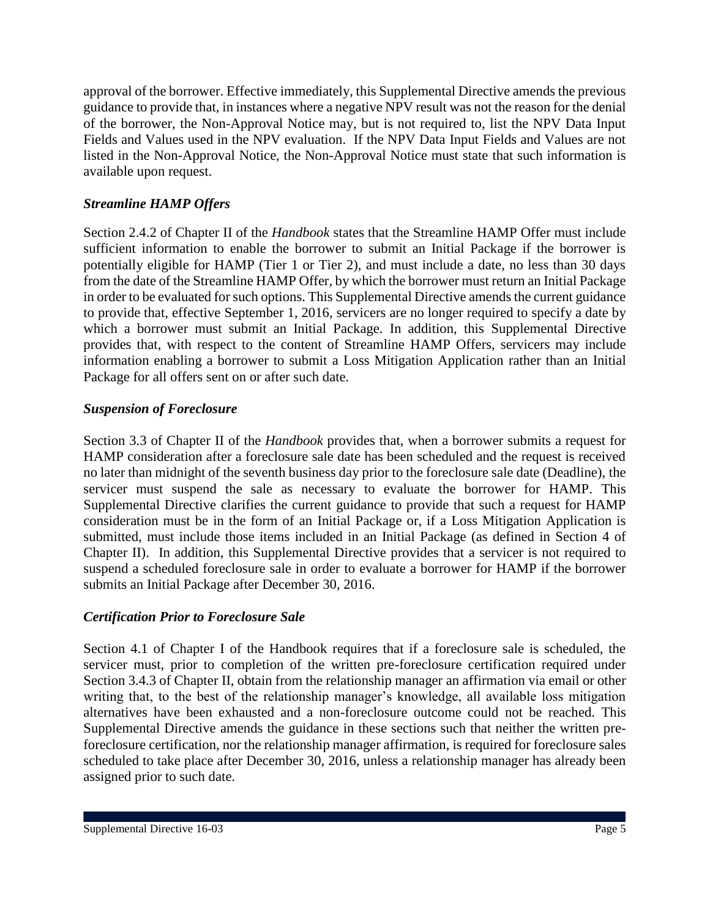approval of the borrower. Effective immediately, this Supplemental Directive amends the previous guidance to provide that, in instances where a negative NPV result was not the reason for the denial of the borrower, the Non-Approval Notice may, but is not required to, list the NPV Data Input Fields and Values used in the NPV evaluation. If the NPV Data Input Fields and Values are not listed in the Non-Approval Notice, the Non-Approval Notice must state that such information is available upon request.

### *Streamline HAMP Offers*

Section 2.4.2 of Chapter II of the *Handbook* states that the Streamline HAMP Offer must include sufficient information to enable the borrower to submit an Initial Package if the borrower is potentially eligible for HAMP (Tier 1 or Tier 2), and must include a date, no less than 30 days from the date of the Streamline HAMP Offer, by which the borrower must return an Initial Package in order to be evaluated for such options. This Supplemental Directive amends the current guidance to provide that, effective September 1, 2016, servicers are no longer required to specify a date by which a borrower must submit an Initial Package. In addition, this Supplemental Directive provides that, with respect to the content of Streamline HAMP Offers, servicers may include information enabling a borrower to submit a Loss Mitigation Application rather than an Initial Package for all offers sent on or after such date.

### *Suspension of Foreclosure*

Section 3.3 of Chapter II of the *Handbook* provides that, when a borrower submits a request for HAMP consideration after a foreclosure sale date has been scheduled and the request is received no later than midnight of the seventh business day prior to the foreclosure sale date (Deadline), the servicer must suspend the sale as necessary to evaluate the borrower for HAMP. This Supplemental Directive clarifies the current guidance to provide that such a request for HAMP consideration must be in the form of an Initial Package or, if a Loss Mitigation Application is submitted, must include those items included in an Initial Package (as defined in Section 4 of Chapter II). In addition, this Supplemental Directive provides that a servicer is not required to suspend a scheduled foreclosure sale in order to evaluate a borrower for HAMP if the borrower submits an Initial Package after December 30, 2016.

### *Certification Prior to Foreclosure Sale*

Section 4.1 of Chapter I of the Handbook requires that if a foreclosure sale is scheduled, the servicer must, prior to completion of the written pre-foreclosure certification required under Section 3.4.3 of Chapter II, obtain from the relationship manager an affirmation via email or other writing that, to the best of the relationship manager's knowledge, all available loss mitigation alternatives have been exhausted and a non-foreclosure outcome could not be reached. This Supplemental Directive amends the guidance in these sections such that neither the written preforeclosure certification, nor the relationship manager affirmation, is required for foreclosure sales scheduled to take place after December 30, 2016, unless a relationship manager has already been assigned prior to such date.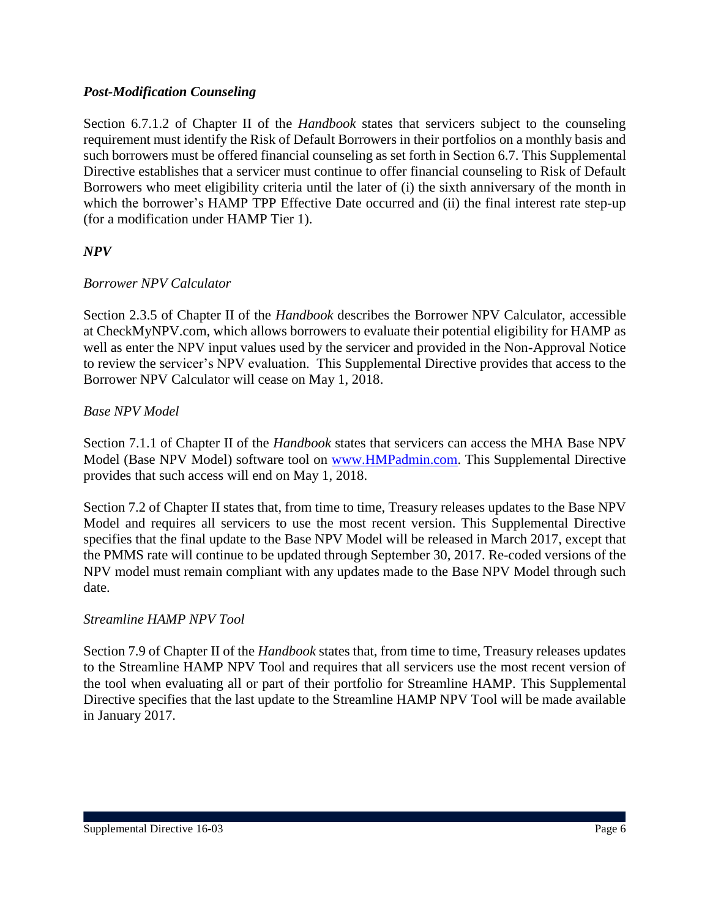### *Post-Modification Counseling*

Section 6.7.1.2 of Chapter II of the *Handbook* states that servicers subject to the counseling requirement must identify the Risk of Default Borrowers in their portfolios on a monthly basis and such borrowers must be offered financial counseling as set forth in Section 6.7. This Supplemental Directive establishes that a servicer must continue to offer financial counseling to Risk of Default Borrowers who meet eligibility criteria until the later of (i) the sixth anniversary of the month in which the borrower's HAMP TPP Effective Date occurred and (ii) the final interest rate step-up (for a modification under HAMP Tier 1).

### *NPV*

#### *Borrower NPV Calculator*

Section 2.3.5 of Chapter II of the *Handbook* describes the Borrower NPV Calculator, accessible at CheckMyNPV.com, which allows borrowers to evaluate their potential eligibility for HAMP as well as enter the NPV input values used by the servicer and provided in the Non-Approval Notice to review the servicer's NPV evaluation. This Supplemental Directive provides that access to the Borrower NPV Calculator will cease on May 1, 2018.

#### *Base NPV Model*

Section 7.1.1 of Chapter II of the *Handbook* states that servicers can access the MHA Base NPV Model (Base NPV Model) software tool on [www.HMPadmin.com.](http://www.hmpadmin.com/) This Supplemental Directive provides that such access will end on May 1, 2018.

Section 7.2 of Chapter II states that, from time to time, Treasury releases updates to the Base NPV Model and requires all servicers to use the most recent version. This Supplemental Directive specifies that the final update to the Base NPV Model will be released in March 2017, except that the PMMS rate will continue to be updated through September 30, 2017. Re-coded versions of the NPV model must remain compliant with any updates made to the Base NPV Model through such date.

#### *Streamline HAMP NPV Tool*

Section 7.9 of Chapter II of the *Handbook* states that, from time to time, Treasury releases updates to the Streamline HAMP NPV Tool and requires that all servicers use the most recent version of the tool when evaluating all or part of their portfolio for Streamline HAMP. This Supplemental Directive specifies that the last update to the Streamline HAMP NPV Tool will be made available in January 2017.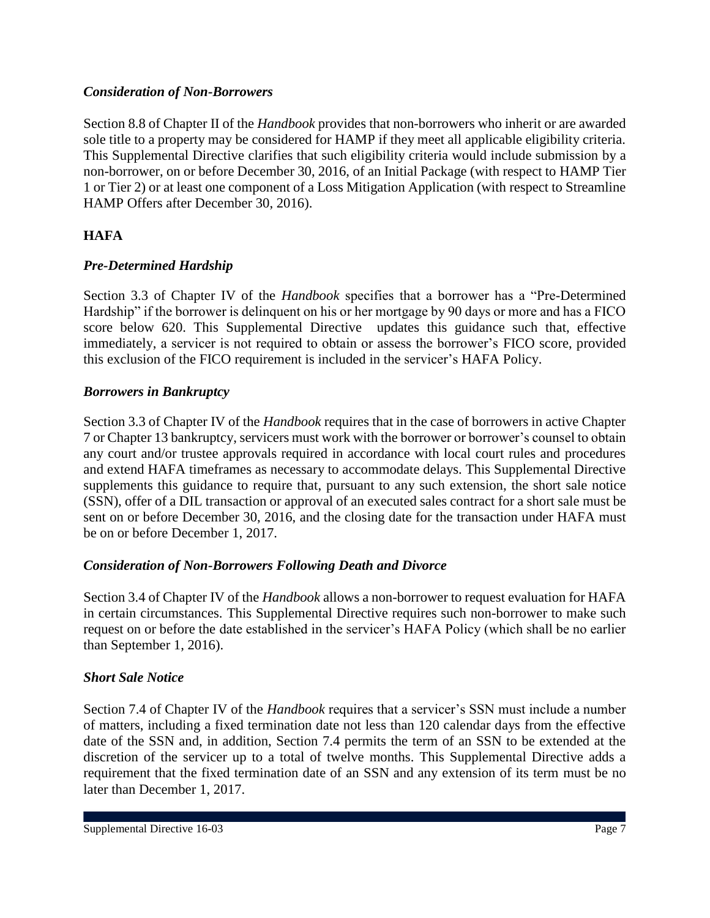#### *Consideration of Non-Borrowers*

Section 8.8 of Chapter II of the *Handbook* provides that non-borrowers who inherit or are awarded sole title to a property may be considered for HAMP if they meet all applicable eligibility criteria. This Supplemental Directive clarifies that such eligibility criteria would include submission by a non-borrower, on or before December 30, 2016, of an Initial Package (with respect to HAMP Tier 1 or Tier 2) or at least one component of a Loss Mitigation Application (with respect to Streamline HAMP Offers after December 30, 2016).

### **HAFA**

### *Pre-Determined Hardship*

Section 3.3 of Chapter IV of the *Handbook* specifies that a borrower has a "Pre-Determined Hardship" if the borrower is delinquent on his or her mortgage by 90 days or more and has a FICO score below 620. This Supplemental Directive updates this guidance such that, effective immediately, a servicer is not required to obtain or assess the borrower's FICO score, provided this exclusion of the FICO requirement is included in the servicer's HAFA Policy.

#### *Borrowers in Bankruptcy*

Section 3.3 of Chapter IV of the *Handbook* requires that in the case of borrowers in active Chapter 7 or Chapter 13 bankruptcy, servicers must work with the borrower or borrower's counsel to obtain any court and/or trustee approvals required in accordance with local court rules and procedures and extend HAFA timeframes as necessary to accommodate delays. This Supplemental Directive supplements this guidance to require that, pursuant to any such extension, the short sale notice (SSN), offer of a DIL transaction or approval of an executed sales contract for a short sale must be sent on or before December 30, 2016, and the closing date for the transaction under HAFA must be on or before December 1, 2017.

### *Consideration of Non-Borrowers Following Death and Divorce*

Section 3.4 of Chapter IV of the *Handbook* allows a non-borrower to request evaluation for HAFA in certain circumstances. This Supplemental Directive requires such non-borrower to make such request on or before the date established in the servicer's HAFA Policy (which shall be no earlier than September 1, 2016).

### *Short Sale Notice*

Section 7.4 of Chapter IV of the *Handbook* requires that a servicer's SSN must include a number of matters, including a fixed termination date not less than 120 calendar days from the effective date of the SSN and, in addition, Section 7.4 permits the term of an SSN to be extended at the discretion of the servicer up to a total of twelve months. This Supplemental Directive adds a requirement that the fixed termination date of an SSN and any extension of its term must be no later than December 1, 2017.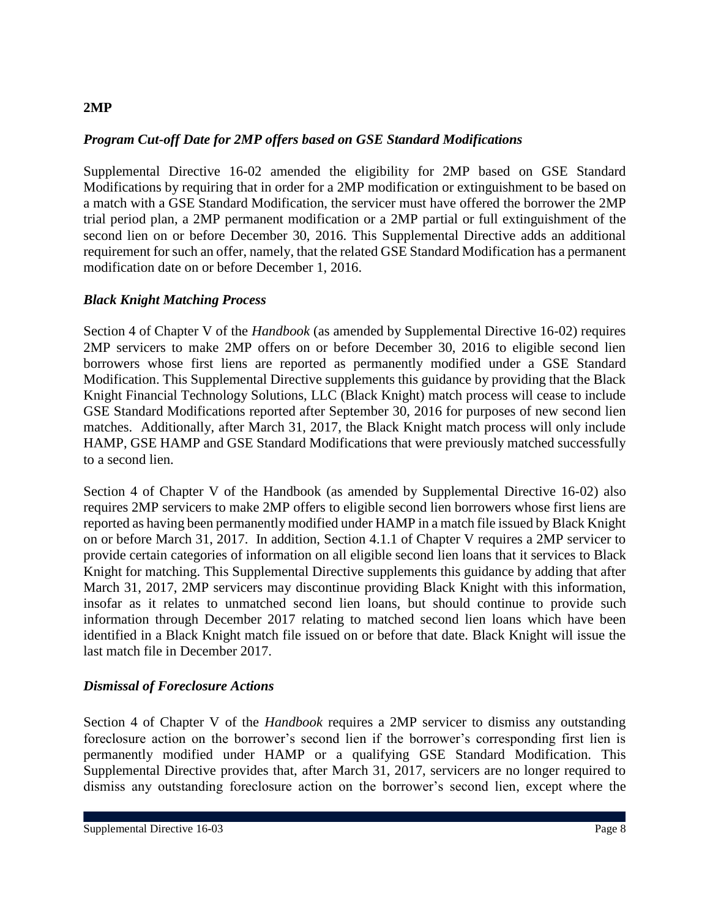#### **2MP**

#### *Program Cut-off Date for 2MP offers based on GSE Standard Modifications*

Supplemental Directive 16-02 amended the eligibility for 2MP based on GSE Standard Modifications by requiring that in order for a 2MP modification or extinguishment to be based on a match with a GSE Standard Modification, the servicer must have offered the borrower the 2MP trial period plan, a 2MP permanent modification or a 2MP partial or full extinguishment of the second lien on or before December 30, 2016. This Supplemental Directive adds an additional requirement for such an offer, namely, that the related GSE Standard Modification has a permanent modification date on or before December 1, 2016.

#### *Black Knight Matching Process*

Section 4 of Chapter V of the *Handbook* (as amended by Supplemental Directive 16-02) requires 2MP servicers to make 2MP offers on or before December 30, 2016 to eligible second lien borrowers whose first liens are reported as permanently modified under a GSE Standard Modification. This Supplemental Directive supplements this guidance by providing that the Black Knight Financial Technology Solutions, LLC (Black Knight) match process will cease to include GSE Standard Modifications reported after September 30, 2016 for purposes of new second lien matches. Additionally, after March 31, 2017, the Black Knight match process will only include HAMP, GSE HAMP and GSE Standard Modifications that were previously matched successfully to a second lien.

Section 4 of Chapter V of the Handbook (as amended by Supplemental Directive 16-02) also requires 2MP servicers to make 2MP offers to eligible second lien borrowers whose first liens are reported as having been permanently modified under HAMP in a match file issued by Black Knight on or before March 31, 2017. In addition, Section 4.1.1 of Chapter V requires a 2MP servicer to provide certain categories of information on all eligible second lien loans that it services to Black Knight for matching. This Supplemental Directive supplements this guidance by adding that after March 31, 2017, 2MP servicers may discontinue providing Black Knight with this information, insofar as it relates to unmatched second lien loans, but should continue to provide such information through December 2017 relating to matched second lien loans which have been identified in a Black Knight match file issued on or before that date. Black Knight will issue the last match file in December 2017.

#### *Dismissal of Foreclosure Actions*

Section 4 of Chapter V of the *Handbook* requires a 2MP servicer to dismiss any outstanding foreclosure action on the borrower's second lien if the borrower's corresponding first lien is permanently modified under HAMP or a qualifying GSE Standard Modification. This Supplemental Directive provides that, after March 31, 2017, servicers are no longer required to dismiss any outstanding foreclosure action on the borrower's second lien, except where the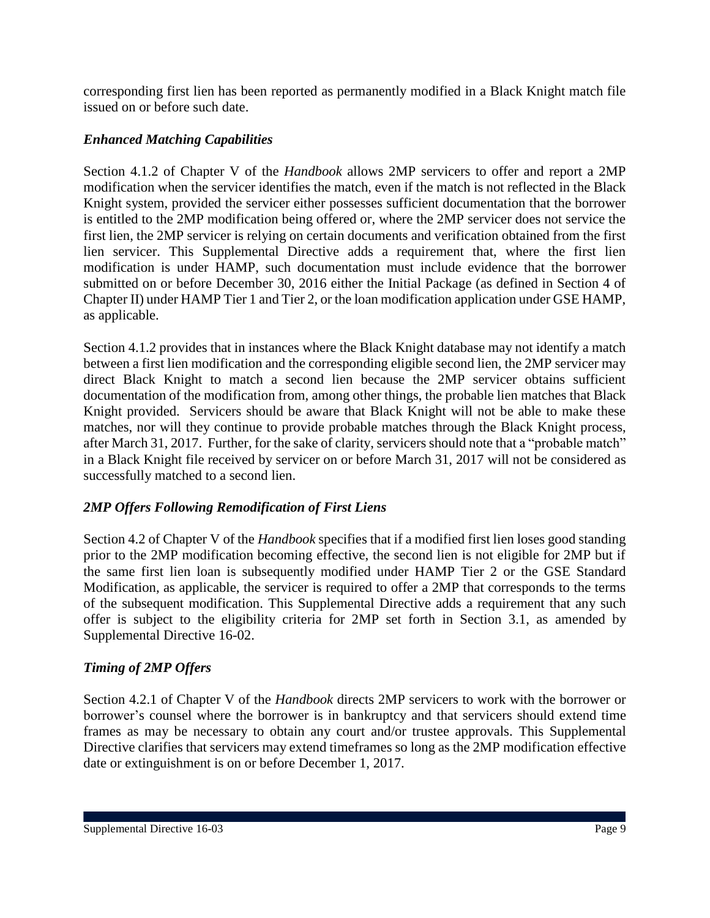corresponding first lien has been reported as permanently modified in a Black Knight match file issued on or before such date.

### *Enhanced Matching Capabilities*

Section 4.1.2 of Chapter V of the *Handbook* allows 2MP servicers to offer and report a 2MP modification when the servicer identifies the match, even if the match is not reflected in the Black Knight system, provided the servicer either possesses sufficient documentation that the borrower is entitled to the 2MP modification being offered or, where the 2MP servicer does not service the first lien, the 2MP servicer is relying on certain documents and verification obtained from the first lien servicer. This Supplemental Directive adds a requirement that, where the first lien modification is under HAMP, such documentation must include evidence that the borrower submitted on or before December 30, 2016 either the Initial Package (as defined in Section 4 of Chapter II) under HAMP Tier 1 and Tier 2, or the loan modification application under GSE HAMP, as applicable.

Section 4.1.2 provides that in instances where the Black Knight database may not identify a match between a first lien modification and the corresponding eligible second lien, the 2MP servicer may direct Black Knight to match a second lien because the 2MP servicer obtains sufficient documentation of the modification from, among other things, the probable lien matches that Black Knight provided. Servicers should be aware that Black Knight will not be able to make these matches, nor will they continue to provide probable matches through the Black Knight process, after March 31, 2017. Further, for the sake of clarity, servicers should note that a "probable match" in a Black Knight file received by servicer on or before March 31, 2017 will not be considered as successfully matched to a second lien.

### *2MP Offers Following Remodification of First Liens*

Section 4.2 of Chapter V of the *Handbook* specifies that if a modified first lien loses good standing prior to the 2MP modification becoming effective, the second lien is not eligible for 2MP but if the same first lien loan is subsequently modified under HAMP Tier 2 or the GSE Standard Modification, as applicable, the servicer is required to offer a 2MP that corresponds to the terms of the subsequent modification. This Supplemental Directive adds a requirement that any such offer is subject to the eligibility criteria for 2MP set forth in Section 3.1, as amended by Supplemental Directive 16-02.

### *Timing of 2MP Offers*

Section 4.2.1 of Chapter V of the *Handbook* directs 2MP servicers to work with the borrower or borrower's counsel where the borrower is in bankruptcy and that servicers should extend time frames as may be necessary to obtain any court and/or trustee approvals. This Supplemental Directive clarifies that servicers may extend timeframes so long as the 2MP modification effective date or extinguishment is on or before December 1, 2017.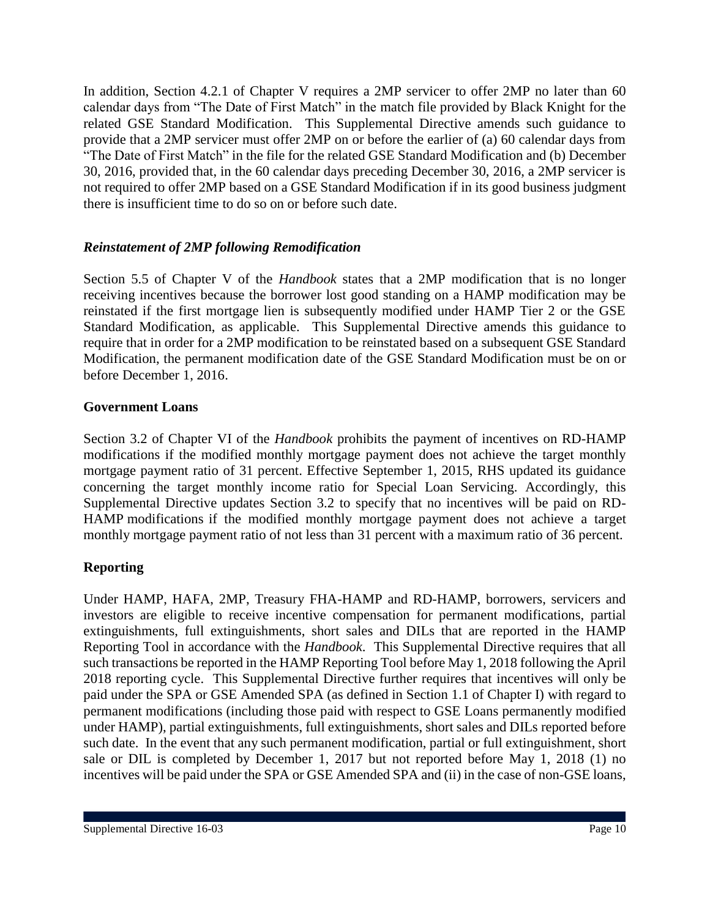In addition, Section 4.2.1 of Chapter V requires a 2MP servicer to offer 2MP no later than 60 calendar days from "The Date of First Match" in the match file provided by Black Knight for the related GSE Standard Modification. This Supplemental Directive amends such guidance to provide that a 2MP servicer must offer 2MP on or before the earlier of (a) 60 calendar days from "The Date of First Match" in the file for the related GSE Standard Modification and (b) December 30, 2016, provided that, in the 60 calendar days preceding December 30, 2016, a 2MP servicer is not required to offer 2MP based on a GSE Standard Modification if in its good business judgment there is insufficient time to do so on or before such date.

### *Reinstatement of 2MP following Remodification*

Section 5.5 of Chapter V of the *Handbook* states that a 2MP modification that is no longer receiving incentives because the borrower lost good standing on a HAMP modification may be reinstated if the first mortgage lien is subsequently modified under HAMP Tier 2 or the GSE Standard Modification, as applicable. This Supplemental Directive amends this guidance to require that in order for a 2MP modification to be reinstated based on a subsequent GSE Standard Modification, the permanent modification date of the GSE Standard Modification must be on or before December 1, 2016.

### **Government Loans**

Section 3.2 of Chapter VI of the *Handbook* prohibits the payment of incentives on RD-HAMP modifications if the modified monthly mortgage payment does not achieve the target monthly mortgage payment ratio of 31 percent. Effective September 1, 2015, RHS updated its guidance concerning the target monthly income ratio for Special Loan Servicing. Accordingly, this Supplemental Directive updates Section 3.2 to specify that no incentives will be paid on RD-HAMP modifications if the modified monthly mortgage payment does not achieve a target monthly mortgage payment ratio of not less than 31 percent with a maximum ratio of 36 percent.

### **Reporting**

Under HAMP, HAFA, 2MP, Treasury FHA-HAMP and RD-HAMP, borrowers, servicers and investors are eligible to receive incentive compensation for permanent modifications, partial extinguishments, full extinguishments, short sales and DILs that are reported in the HAMP Reporting Tool in accordance with the *Handbook*. This Supplemental Directive requires that all such transactions be reported in the HAMP Reporting Tool before May 1, 2018 following the April 2018 reporting cycle. This Supplemental Directive further requires that incentives will only be paid under the SPA or GSE Amended SPA (as defined in Section 1.1 of Chapter I) with regard to permanent modifications (including those paid with respect to GSE Loans permanently modified under HAMP), partial extinguishments, full extinguishments, short sales and DILs reported before such date. In the event that any such permanent modification, partial or full extinguishment, short sale or DIL is completed by December 1, 2017 but not reported before May 1, 2018 (1) no incentives will be paid under the SPA or GSE Amended SPA and (ii) in the case of non-GSE loans,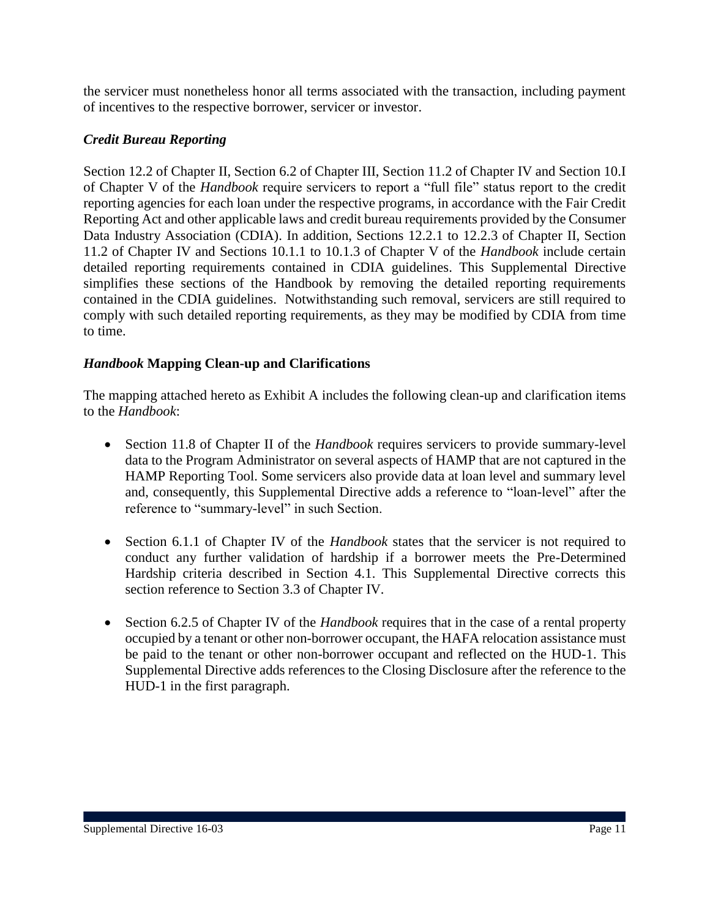the servicer must nonetheless honor all terms associated with the transaction, including payment of incentives to the respective borrower, servicer or investor.

### *Credit Bureau Reporting*

Section 12.2 of Chapter II, Section 6.2 of Chapter III, Section 11.2 of Chapter IV and Section 10.I of Chapter V of the *Handbook* require servicers to report a "full file" status report to the credit reporting agencies for each loan under the respective programs, in accordance with the Fair Credit Reporting Act and other applicable laws and credit bureau requirements provided by the Consumer Data Industry Association (CDIA). In addition, Sections 12.2.1 to 12.2.3 of Chapter II, Section 11.2 of Chapter IV and Sections 10.1.1 to 10.1.3 of Chapter V of the *Handbook* include certain detailed reporting requirements contained in CDIA guidelines. This Supplemental Directive simplifies these sections of the Handbook by removing the detailed reporting requirements contained in the CDIA guidelines. Notwithstanding such removal, servicers are still required to comply with such detailed reporting requirements, as they may be modified by CDIA from time to time.

### *Handbook* **Mapping Clean-up and Clarifications**

The mapping attached hereto as Exhibit A includes the following clean-up and clarification items to the *Handbook*:

- Section 11.8 of Chapter II of the *Handbook* requires servicers to provide summary-level data to the Program Administrator on several aspects of HAMP that are not captured in the HAMP Reporting Tool. Some servicers also provide data at loan level and summary level and, consequently, this Supplemental Directive adds a reference to "loan-level" after the reference to "summary-level" in such Section.
- Section 6.1.1 of Chapter IV of the *Handbook* states that the servicer is not required to conduct any further validation of hardship if a borrower meets the Pre-Determined Hardship criteria described in Section 4.1. This Supplemental Directive corrects this section reference to Section 3.3 of Chapter IV.
- Section 6.2.5 of Chapter IV of the *Handbook* requires that in the case of a rental property occupied by a tenant or other non-borrower occupant, the HAFA relocation assistance must be paid to the tenant or other non-borrower occupant and reflected on the HUD-1. This Supplemental Directive adds references to the Closing Disclosure after the reference to the HUD-1 in the first paragraph.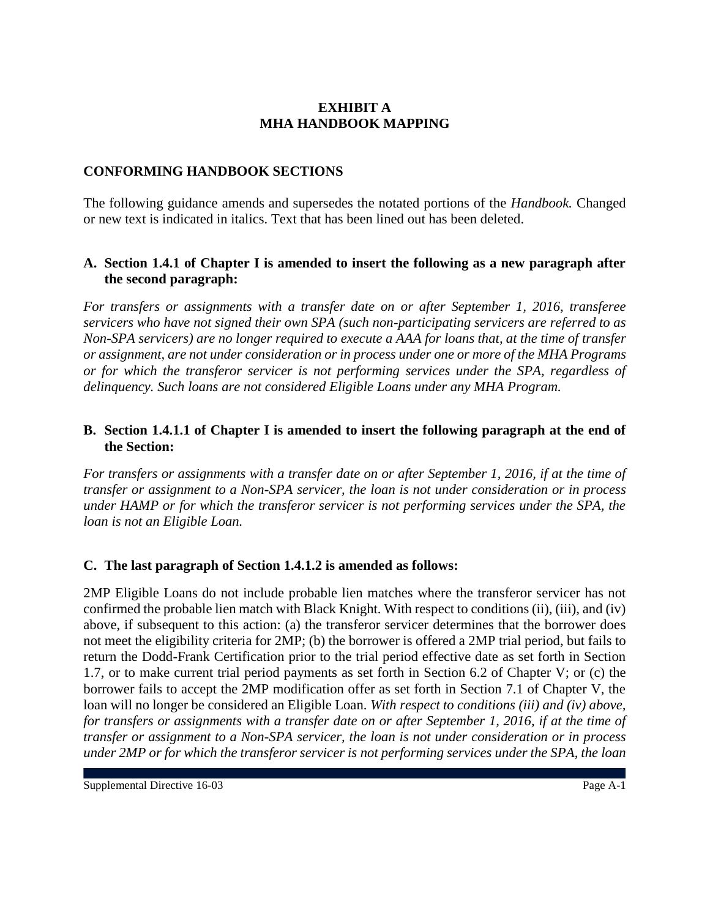### **EXHIBIT A MHA HANDBOOK MAPPING**

### **CONFORMING HANDBOOK SECTIONS**

The following guidance amends and supersedes the notated portions of the *Handbook.* Changed or new text is indicated in italics. Text that has been lined out has been deleted.

### **A. Section 1.4.1 of Chapter I is amended to insert the following as a new paragraph after the second paragraph:**

*For transfers or assignments with a transfer date on or after September 1, 2016, transferee servicers who have not signed their own SPA (such non-participating servicers are referred to as Non-SPA servicers) are no longer required to execute a AAA for loans that, at the time of transfer or assignment, are not under consideration or in process under one or more of the MHA Programs or for which the transferor servicer is not performing services under the SPA, regardless of delinquency. Such loans are not considered Eligible Loans under any MHA Program.*

### **B. Section 1.4.1.1 of Chapter I is amended to insert the following paragraph at the end of the Section:**

*For transfers or assignments with a transfer date on or after September 1, 2016, if at the time of transfer or assignment to a Non-SPA servicer, the loan is not under consideration or in process under HAMP or for which the transferor servicer is not performing services under the SPA, the loan is not an Eligible Loan.*

### **C. The last paragraph of Section 1.4.1.2 is amended as follows:**

2MP Eligible Loans do not include probable lien matches where the transferor servicer has not confirmed the probable lien match with Black Knight. With respect to conditions (ii), (iii), and (iv) above, if subsequent to this action: (a) the transferor servicer determines that the borrower does not meet the eligibility criteria for 2MP; (b) the borrower is offered a 2MP trial period, but fails to return the Dodd-Frank Certification prior to the trial period effective date as set forth in Section 1.7, or to make current trial period payments as set forth in Section 6.2 of Chapter V; or (c) the borrower fails to accept the 2MP modification offer as set forth in Section 7.1 of Chapter V, the loan will no longer be considered an Eligible Loan. *With respect to conditions (iii) and (iv) above, for transfers or assignments with a transfer date on or after September 1, 2016, if at the time of transfer or assignment to a Non-SPA servicer, the loan is not under consideration or in process under 2MP or for which the transferor servicer is not performing services under the SPA, the loan*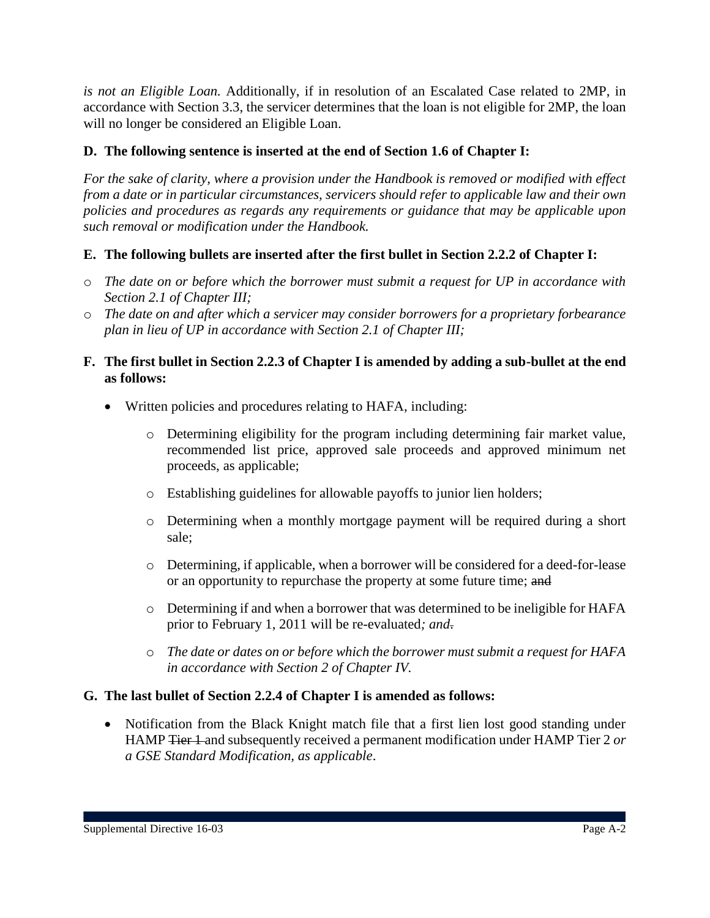*is not an Eligible Loan.* Additionally, if in resolution of an Escalated Case related to 2MP, in accordance with Section 3.3, the servicer determines that the loan is not eligible for 2MP, the loan will no longer be considered an Eligible Loan.

### **D. The following sentence is inserted at the end of Section 1.6 of Chapter I:**

*For the sake of clarity, where a provision under the Handbook is removed or modified with effect from a date or in particular circumstances, servicers should refer to applicable law and their own policies and procedures as regards any requirements or guidance that may be applicable upon such removal or modification under the Handbook.*

### **E. The following bullets are inserted after the first bullet in Section 2.2.2 of Chapter I:**

- o *The date on or before which the borrower must submit a request for UP in accordance with Section 2.1 of Chapter III;*
- o *The date on and after which a servicer may consider borrowers for a proprietary forbearance plan in lieu of UP in accordance with Section 2.1 of Chapter III;*

#### **F. The first bullet in Section 2.2.3 of Chapter I is amended by adding a sub-bullet at the end as follows:**

- Written policies and procedures relating to HAFA, including:
	- o Determining eligibility for the program including determining fair market value, recommended list price, approved sale proceeds and approved minimum net proceeds, as applicable;
	- o Establishing guidelines for allowable payoffs to junior lien holders;
	- o Determining when a monthly mortgage payment will be required during a short sale;
	- o Determining, if applicable, when a borrower will be considered for a deed-for-lease or an opportunity to repurchase the property at some future time; and
	- o Determining if and when a borrower that was determined to be ineligible for HAFA prior to February 1, 2011 will be re-evaluated*; and*.
	- o *The date or dates on or before which the borrower must submit a request for HAFA in accordance with Section 2 of Chapter IV.*

### **G. The last bullet of Section 2.2.4 of Chapter I is amended as follows:**

• Notification from the Black Knight match file that a first lien lost good standing under HAMP Tier 1 and subsequently received a permanent modification under HAMP Tier 2 *or a GSE Standard Modification, as applicable*.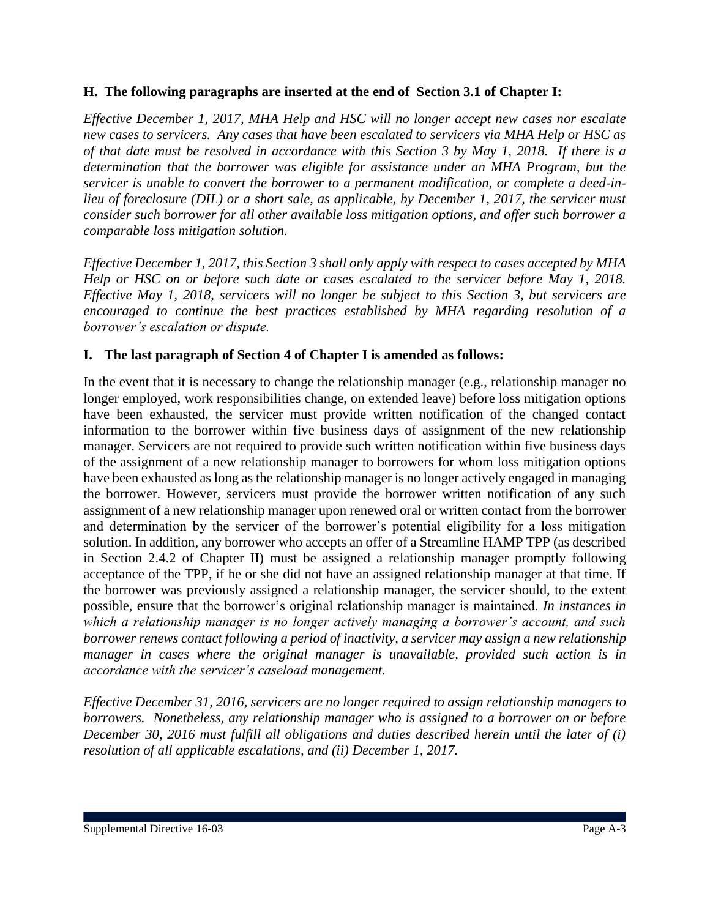### **H. The following paragraphs are inserted at the end of Section 3.1 of Chapter I:**

*Effective December 1, 2017, MHA Help and HSC will no longer accept new cases nor escalate new cases to servicers. Any cases that have been escalated to servicers via MHA Help or HSC as of that date must be resolved in accordance with this Section 3 by May 1, 2018. If there is a determination that the borrower was eligible for assistance under an MHA Program, but the servicer is unable to convert the borrower to a permanent modification, or complete a deed-inlieu of foreclosure (DIL) or a short sale, as applicable, by December 1, 2017, the servicer must consider such borrower for all other available loss mitigation options, and offer such borrower a comparable loss mitigation solution.*

*Effective December 1, 2017, this Section 3 shall only apply with respect to cases accepted by MHA Help or HSC on or before such date or cases escalated to the servicer before May 1, 2018. Effective May 1, 2018, servicers will no longer be subject to this Section 3, but servicers are encouraged to continue the best practices established by MHA regarding resolution of a borrower's escalation or dispute.*

#### **I. The last paragraph of Section 4 of Chapter I is amended as follows:**

In the event that it is necessary to change the relationship manager (e.g., relationship manager no longer employed, work responsibilities change, on extended leave) before loss mitigation options have been exhausted, the servicer must provide written notification of the changed contact information to the borrower within five business days of assignment of the new relationship manager. Servicers are not required to provide such written notification within five business days of the assignment of a new relationship manager to borrowers for whom loss mitigation options have been exhausted as long as the relationship manager is no longer actively engaged in managing the borrower. However, servicers must provide the borrower written notification of any such assignment of a new relationship manager upon renewed oral or written contact from the borrower and determination by the servicer of the borrower's potential eligibility for a loss mitigation solution. In addition, any borrower who accepts an offer of a Streamline HAMP TPP (as described in Section 2.4.2 of Chapter II) must be assigned a relationship manager promptly following acceptance of the TPP, if he or she did not have an assigned relationship manager at that time. If the borrower was previously assigned a relationship manager, the servicer should, to the extent possible, ensure that the borrower's original relationship manager is maintained. *In instances in which a relationship manager is no longer actively managing a borrower's account, and such borrower renews contact following a period of inactivity, a servicer may assign a new relationship manager in cases where the original manager is unavailable, provided such action is in accordance with the servicer's caseload management.*

*Effective December 31, 2016, servicers are no longer required to assign relationship managers to borrowers. Nonetheless, any relationship manager who is assigned to a borrower on or before December 30, 2016 must fulfill all obligations and duties described herein until the later of (i) resolution of all applicable escalations, and (ii) December 1, 2017.*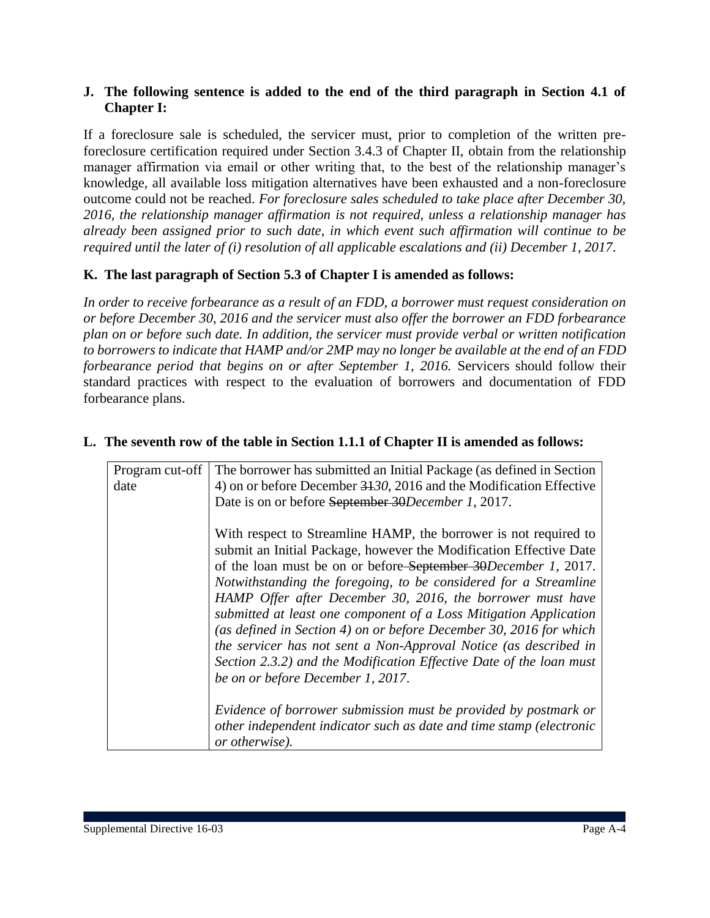#### **J. The following sentence is added to the end of the third paragraph in Section 4.1 of Chapter I:**

If a foreclosure sale is scheduled, the servicer must, prior to completion of the written preforeclosure certification required under Section 3.4.3 of Chapter II, obtain from the relationship manager affirmation via email or other writing that, to the best of the relationship manager's knowledge, all available loss mitigation alternatives have been exhausted and a non-foreclosure outcome could not be reached. *For foreclosure sales scheduled to take place after December 30, 2016, the relationship manager affirmation is not required, unless a relationship manager has already been assigned prior to such date, in which event such affirmation will continue to be required until the later of (i) resolution of all applicable escalations and (ii) December 1, 2017.*

### **K. The last paragraph of Section 5.3 of Chapter I is amended as follows:**

*In order to receive forbearance as a result of an FDD, a borrower must request consideration on or before December 30, 2016 and the servicer must also offer the borrower an FDD forbearance plan on or before such date. In addition, the servicer must provide verbal or written notification to borrowers to indicate that HAMP and/or 2MP may no longer be available at the end of an FDD forbearance period that begins on or after September 1, 2016.* Servicers should follow their standard practices with respect to the evaluation of borrowers and documentation of FDD forbearance plans.

| Program cut-off | The borrower has submitted an Initial Package (as defined in Section |
|-----------------|----------------------------------------------------------------------|
| date            | 4) on or before December 3130, 2016 and the Modification Effective   |
|                 | Date is on or before September 30December 1, 2017.                   |
|                 |                                                                      |
|                 | With respect to Streamline HAMP, the borrower is not required to     |
|                 | submit an Initial Package, however the Modification Effective Date   |
|                 | of the loan must be on or before September 30December 1, 2017.       |
|                 | Notwithstanding the foregoing, to be considered for a Streamline     |
|                 | HAMP Offer after December 30, 2016, the borrower must have           |
|                 | submitted at least one component of a Loss Mitigation Application    |
|                 | (as defined in Section 4) on or before December 30, 2016 for which   |
|                 | the servicer has not sent a Non-Approval Notice (as described in     |
|                 | Section 2.3.2) and the Modification Effective Date of the loan must  |
|                 | be on or before December 1, 2017.                                    |
|                 |                                                                      |
|                 | Evidence of borrower submission must be provided by postmark or      |
|                 | other independent indicator such as date and time stamp (electronic  |
|                 | or otherwise).                                                       |

#### **L. The seventh row of the table in Section 1.1.1 of Chapter II is amended as follows:**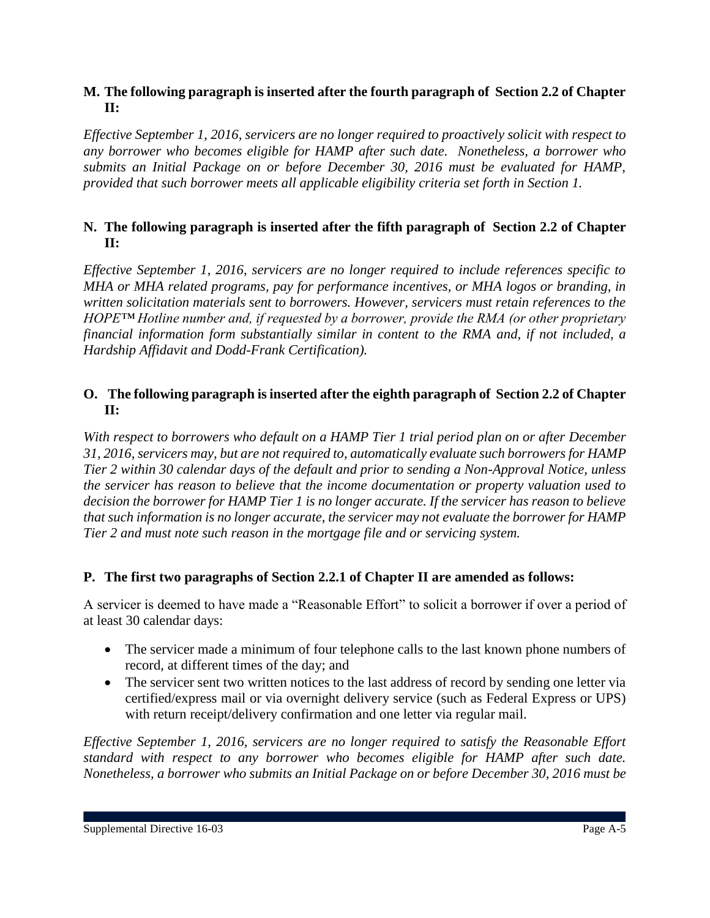### **M. The following paragraph is inserted after the fourth paragraph of Section 2.2 of Chapter II:**

*Effective September 1, 2016, servicers are no longer required to proactively solicit with respect to any borrower who becomes eligible for HAMP after such date. Nonetheless, a borrower who submits an Initial Package on or before December 30, 2016 must be evaluated for HAMP, provided that such borrower meets all applicable eligibility criteria set forth in Section 1.*

### **N. The following paragraph is inserted after the fifth paragraph of Section 2.2 of Chapter II:**

*Effective September 1, 2016, servicers are no longer required to include references specific to MHA or MHA related programs, pay for performance incentives, or MHA logos or branding, in written solicitation materials sent to borrowers. However, servicers must retain references to the HOPE™ Hotline number and, if requested by a borrower, provide the RMA (or other proprietary financial information form substantially similar in content to the RMA and, if not included, a Hardship Affidavit and Dodd-Frank Certification).* 

### **O. The following paragraph is inserted after the eighth paragraph of Section 2.2 of Chapter II:**

*With respect to borrowers who default on a HAMP Tier 1 trial period plan on or after December 31, 2016, servicers may, but are not required to, automatically evaluate such borrowers for HAMP Tier 2 within 30 calendar days of the default and prior to sending a Non-Approval Notice, unless the servicer has reason to believe that the income documentation or property valuation used to decision the borrower for HAMP Tier 1 is no longer accurate. If the servicer has reason to believe that such information is no longer accurate, the servicer may not evaluate the borrower for HAMP Tier 2 and must note such reason in the mortgage file and or servicing system.*

### **P. The first two paragraphs of Section 2.2.1 of Chapter II are amended as follows:**

A servicer is deemed to have made a "Reasonable Effort" to solicit a borrower if over a period of at least 30 calendar days:

- The servicer made a minimum of four telephone calls to the last known phone numbers of record, at different times of the day; and
- The servicer sent two written notices to the last address of record by sending one letter via certified/express mail or via overnight delivery service (such as Federal Express or UPS) with return receipt/delivery confirmation and one letter via regular mail.

*Effective September 1, 2016, servicers are no longer required to satisfy the Reasonable Effort standard with respect to any borrower who becomes eligible for HAMP after such date. Nonetheless, a borrower who submits an Initial Package on or before December 30, 2016 must be*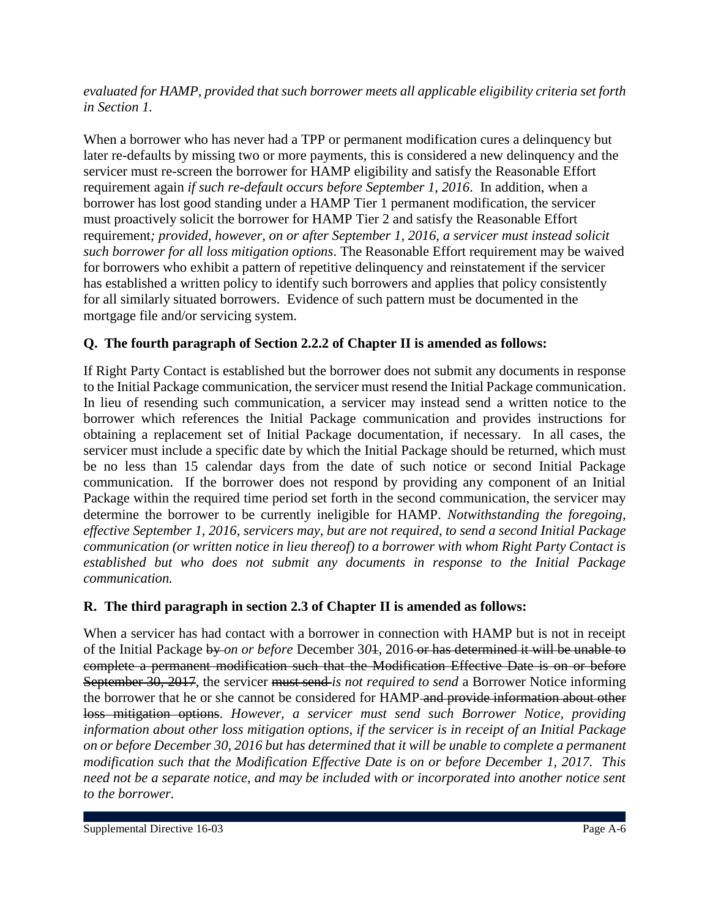*evaluated for HAMP, provided that such borrower meets all applicable eligibility criteria set forth in Section 1.*

When a borrower who has never had a TPP or permanent modification cures a delinquency but later re-defaults by missing two or more payments, this is considered a new delinquency and the servicer must re-screen the borrower for HAMP eligibility and satisfy the Reasonable Effort requirement again *if such re-default occurs before September 1, 2016*. In addition, when a borrower has lost good standing under a HAMP Tier 1 permanent modification, the servicer must proactively solicit the borrower for HAMP Tier 2 and satisfy the Reasonable Effort requirement*; provided, however, on or after September 1, 2016, a servicer must instead solicit such borrower for all loss mitigation options*. The Reasonable Effort requirement may be waived for borrowers who exhibit a pattern of repetitive delinquency and reinstatement if the servicer has established a written policy to identify such borrowers and applies that policy consistently for all similarly situated borrowers. Evidence of such pattern must be documented in the mortgage file and/or servicing system.

## **Q. The fourth paragraph of Section 2.2.2 of Chapter II is amended as follows:**

If Right Party Contact is established but the borrower does not submit any documents in response to the Initial Package communication, the servicer must resend the Initial Package communication. In lieu of resending such communication, a servicer may instead send a written notice to the borrower which references the Initial Package communication and provides instructions for obtaining a replacement set of Initial Package documentation, if necessary. In all cases, the servicer must include a specific date by which the Initial Package should be returned, which must be no less than 15 calendar days from the date of such notice or second Initial Package communication. If the borrower does not respond by providing any component of an Initial Package within the required time period set forth in the second communication, the servicer may determine the borrower to be currently ineligible for HAMP. *Notwithstanding the foregoing, effective September 1, 2016, servicers may, but are not required, to send a second Initial Package communication (or written notice in lieu thereof) to a borrower with whom Right Party Contact is established but who does not submit any documents in response to the Initial Package communication.*

### **R. The third paragraph in section 2.3 of Chapter II is amended as follows:**

When a servicer has had contact with a borrower in connection with HAMP but is not in receipt of the Initial Package by *on or before* December 3*0*1, 2016 or has determined it will be unable to complete a permanent modification such that the Modification Effective Date is on or before September 30, 2017, the servicer must send *is not required to send* a Borrower Notice informing the borrower that he or she cannot be considered for HAMP and provide information about other loss mitigation options. *However, a servicer must send such Borrower Notice, providing information about other loss mitigation options, if the servicer is in receipt of an Initial Package on or before December 30, 2016 but has determined that it will be unable to complete a permanent modification such that the Modification Effective Date is on or before December 1, 2017. This need not be a separate notice, and may be included with or incorporated into another notice sent to the borrower.*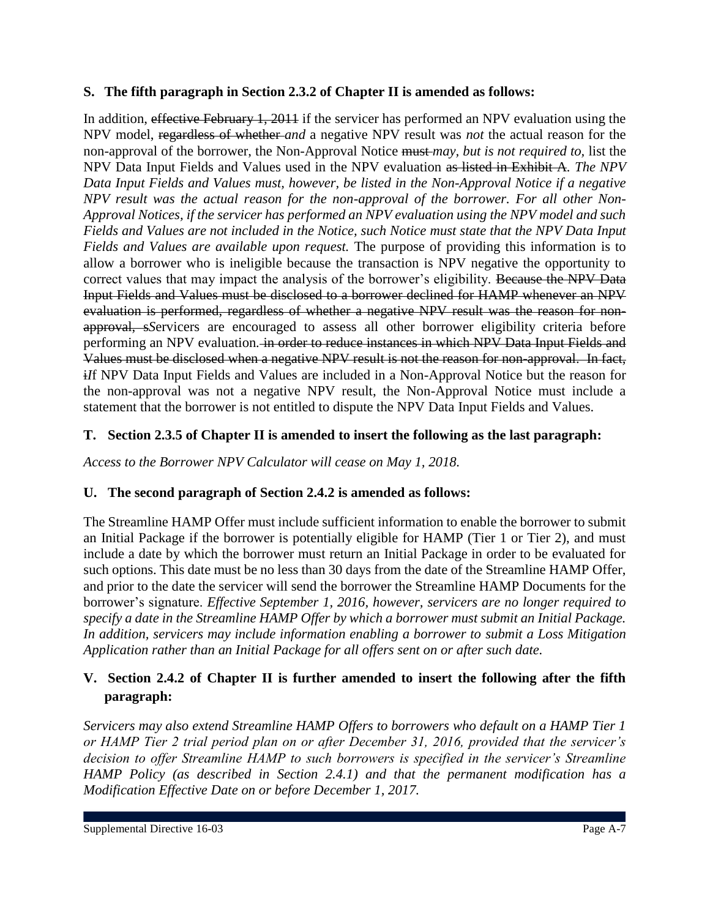### **S. The fifth paragraph in Section 2.3.2 of Chapter II is amended as follows:**

In addition, effective February 1, 2011 if the servicer has performed an NPV evaluation using the NPV model, regardless of whether *and* a negative NPV result was *not* the actual reason for the non-approval of the borrower, the Non-Approval Notice must *may, but is not required to,* list the NPV Data Input Fields and Values used in the NPV evaluation as listed in Exhibit A*. The NPV Data Input Fields and Values must, however, be listed in the Non-Approval Notice if a negative NPV result was the actual reason for the non-approval of the borrower. For all other Non-Approval Notices, if the servicer has performed an NPV evaluation using the NPV model and such Fields and Values are not included in the Notice, such Notice must state that the NPV Data Input Fields and Values are available upon request.* The purpose of providing this information is to allow a borrower who is ineligible because the transaction is NPV negative the opportunity to correct values that may impact the analysis of the borrower's eligibility. Because the NPV Data Input Fields and Values must be disclosed to a borrower declined for HAMP whenever an NPV evaluation is performed, regardless of whether a negative NPV result was the reason for nonapproval, s*S*ervicers are encouraged to assess all other borrower eligibility criteria before performing an NPV evaluation*.* in order to reduce instances in which NPV Data Input Fields and Values must be disclosed when a negative NPV result is not the reason for non-approval. In fact, i*I*f NPV Data Input Fields and Values are included in a Non-Approval Notice but the reason for the non-approval was not a negative NPV result, the Non-Approval Notice must include a statement that the borrower is not entitled to dispute the NPV Data Input Fields and Values.

### **T. Section 2.3.5 of Chapter II is amended to insert the following as the last paragraph:**

*Access to the Borrower NPV Calculator will cease on May 1, 2018.*

### **U. The second paragraph of Section 2.4.2 is amended as follows:**

The Streamline HAMP Offer must include sufficient information to enable the borrower to submit an Initial Package if the borrower is potentially eligible for HAMP (Tier 1 or Tier 2), and must include a date by which the borrower must return an Initial Package in order to be evaluated for such options. This date must be no less than 30 days from the date of the Streamline HAMP Offer, and prior to the date the servicer will send the borrower the Streamline HAMP Documents for the borrower's signature. *Effective September 1, 2016, however, servicers are no longer required to specify a date in the Streamline HAMP Offer by which a borrower must submit an Initial Package. In addition, servicers may include information enabling a borrower to submit a Loss Mitigation Application rather than an Initial Package for all offers sent on or after such date.*

### **V. Section 2.4.2 of Chapter II is further amended to insert the following after the fifth paragraph:**

*Servicers may also extend Streamline HAMP Offers to borrowers who default on a HAMP Tier 1 or HAMP Tier 2 trial period plan on or after December 31, 2016, provided that the servicer's decision to offer Streamline HAMP to such borrowers is specified in the servicer's Streamline HAMP Policy (as described in Section 2.4.1) and that the permanent modification has a Modification Effective Date on or before December 1, 2017.*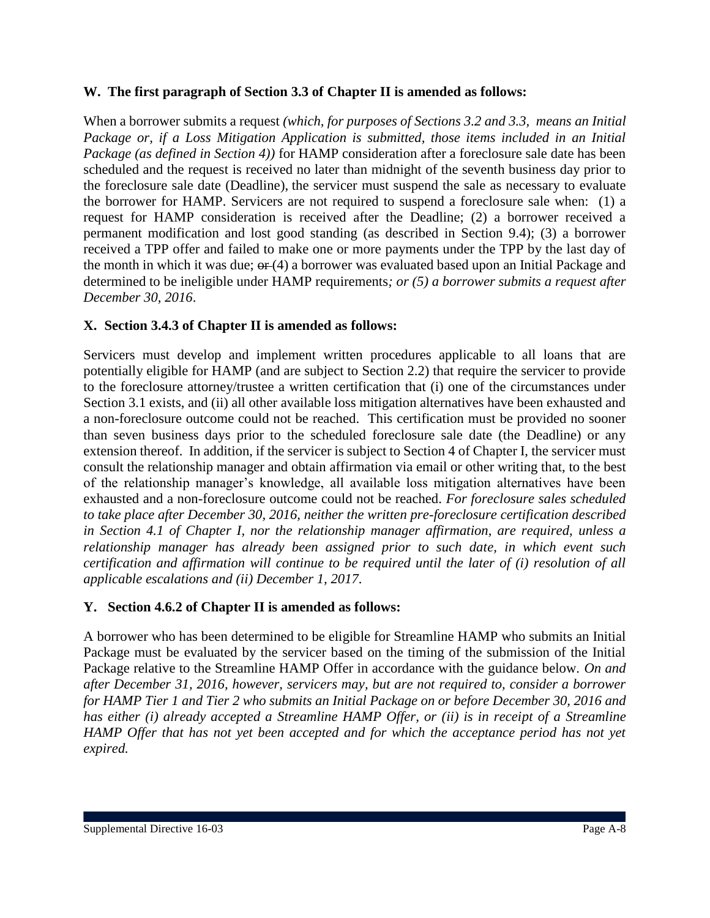#### **W. The first paragraph of Section 3.3 of Chapter II is amended as follows:**

When a borrower submits a request *(which, for purposes of Sections 3.2 and 3.3, means an Initial Package or, if a Loss Mitigation Application is submitted, those items included in an Initial Package (as defined in Section 4))* for HAMP consideration after a foreclosure sale date has been scheduled and the request is received no later than midnight of the seventh business day prior to the foreclosure sale date (Deadline), the servicer must suspend the sale as necessary to evaluate the borrower for HAMP. Servicers are not required to suspend a foreclosure sale when: (1) a request for HAMP consideration is received after the Deadline; (2) a borrower received a permanent modification and lost good standing (as described in Section 9.4); (3) a borrower received a TPP offer and failed to make one or more payments under the TPP by the last day of the month in which it was due;  $\Theta$  (4) a borrower was evaluated based upon an Initial Package and determined to be ineligible under HAMP requirements*; or (5) a borrower submits a request after December 30, 2016*.

### **X. Section 3.4.3 of Chapter II is amended as follows:**

Servicers must develop and implement written procedures applicable to all loans that are potentially eligible for HAMP (and are subject to Section 2.2) that require the servicer to provide to the foreclosure attorney/trustee a written certification that (i) one of the circumstances under Section 3.1 exists, and (ii) all other available loss mitigation alternatives have been exhausted and a non-foreclosure outcome could not be reached. This certification must be provided no sooner than seven business days prior to the scheduled foreclosure sale date (the Deadline) or any extension thereof. In addition, if the servicer is subject to Section 4 of Chapter I, the servicer must consult the relationship manager and obtain affirmation via email or other writing that, to the best of the relationship manager's knowledge, all available loss mitigation alternatives have been exhausted and a non-foreclosure outcome could not be reached. *For foreclosure sales scheduled to take place after December 30, 2016, neither the written pre-foreclosure certification described in Section 4.1 of Chapter I, nor the relationship manager affirmation, are required, unless a relationship manager has already been assigned prior to such date, in which event such certification and affirmation will continue to be required until the later of (i) resolution of all applicable escalations and (ii) December 1, 2017.*

### **Y. Section 4.6.2 of Chapter II is amended as follows:**

A borrower who has been determined to be eligible for Streamline HAMP who submits an Initial Package must be evaluated by the servicer based on the timing of the submission of the Initial Package relative to the Streamline HAMP Offer in accordance with the guidance below. *On and after December 31, 2016, however, servicers may, but are not required to, consider a borrower for HAMP Tier 1 and Tier 2 who submits an Initial Package on or before December 30, 2016 and has either (i) already accepted a Streamline HAMP Offer, or (ii) is in receipt of a Streamline HAMP Offer that has not yet been accepted and for which the acceptance period has not yet expired.*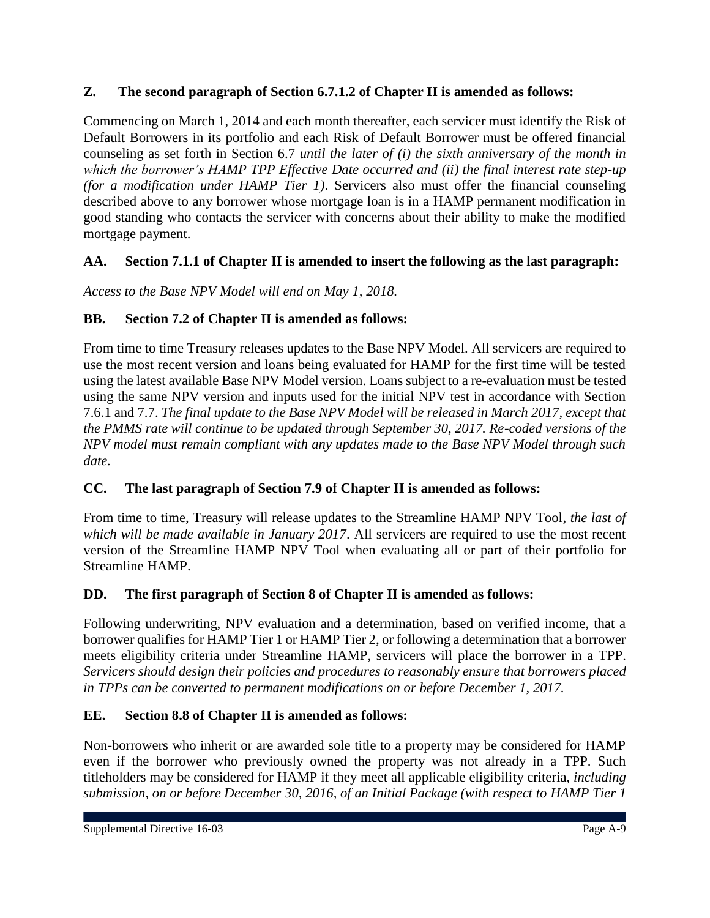### **Z. The second paragraph of Section 6.7.1.2 of Chapter II is amended as follows:**

Commencing on March 1, 2014 and each month thereafter, each servicer must identify the Risk of Default Borrowers in its portfolio and each Risk of Default Borrower must be offered financial counseling as set forth in Section 6.7 *until the later of (i) the sixth anniversary of the month in which the borrower's HAMP TPP Effective Date occurred and (ii) the final interest rate step-up (for a modification under HAMP Tier 1)*. Servicers also must offer the financial counseling described above to any borrower whose mortgage loan is in a HAMP permanent modification in good standing who contacts the servicer with concerns about their ability to make the modified mortgage payment.

### **AA. Section 7.1.1 of Chapter II is amended to insert the following as the last paragraph:**

*Access to the Base NPV Model will end on May 1, 2018.*

### **BB. Section 7.2 of Chapter II is amended as follows:**

From time to time Treasury releases updates to the Base NPV Model. All servicers are required to use the most recent version and loans being evaluated for HAMP for the first time will be tested using the latest available Base NPV Model version. Loans subject to a re-evaluation must be tested using the same NPV version and inputs used for the initial NPV test in accordance with Section 7.6.1 and 7.7. *The final update to the Base NPV Model will be released in March 2017, except that the PMMS rate will continue to be updated through September 30, 2017. Re-coded versions of the NPV model must remain compliant with any updates made to the Base NPV Model through such date.*

### **CC. The last paragraph of Section 7.9 of Chapter II is amended as follows:**

From time to time, Treasury will release updates to the Streamline HAMP NPV Tool*, the last of which will be made available in January 2017*. All servicers are required to use the most recent version of the Streamline HAMP NPV Tool when evaluating all or part of their portfolio for Streamline HAMP.

### **DD. The first paragraph of Section 8 of Chapter II is amended as follows:**

Following underwriting, NPV evaluation and a determination, based on verified income, that a borrower qualifies for HAMP Tier 1 or HAMP Tier 2, or following a determination that a borrower meets eligibility criteria under Streamline HAMP, servicers will place the borrower in a TPP. *Servicers should design their policies and procedures to reasonably ensure that borrowers placed in TPPs can be converted to permanent modifications on or before December 1, 2017.*

### **EE. Section 8.8 of Chapter II is amended as follows:**

Non-borrowers who inherit or are awarded sole title to a property may be considered for HAMP even if the borrower who previously owned the property was not already in a TPP. Such titleholders may be considered for HAMP if they meet all applicable eligibility criteria*, including submission, on or before December 30, 2016, of an Initial Package (with respect to HAMP Tier 1*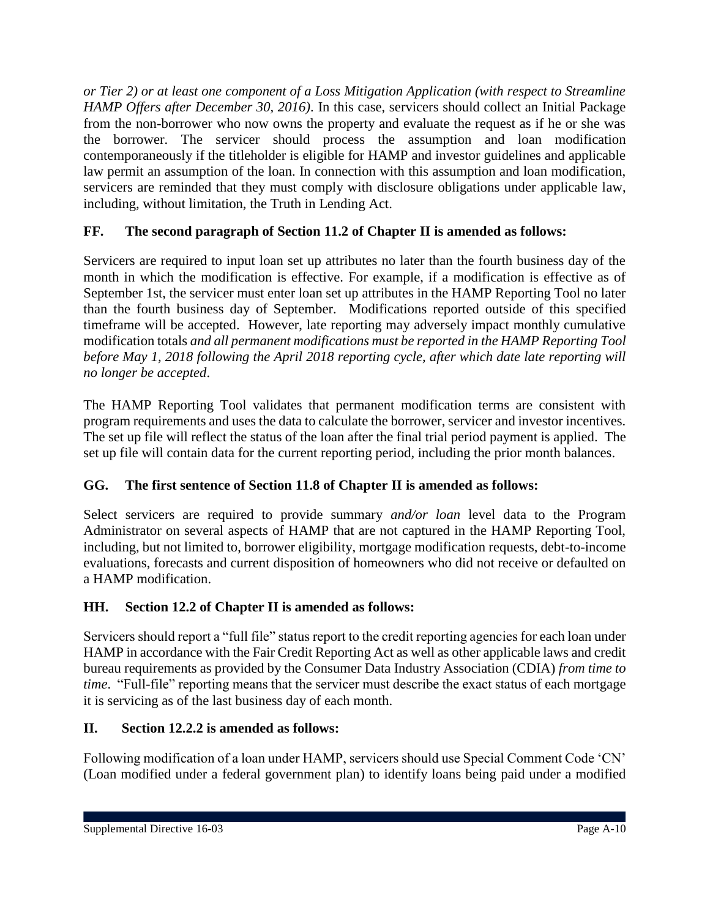*or Tier 2) or at least one component of a Loss Mitigation Application (with respect to Streamline HAMP Offers after December 30, 2016)*. In this case, servicers should collect an Initial Package from the non-borrower who now owns the property and evaluate the request as if he or she was the borrower. The servicer should process the assumption and loan modification contemporaneously if the titleholder is eligible for HAMP and investor guidelines and applicable law permit an assumption of the loan. In connection with this assumption and loan modification, servicers are reminded that they must comply with disclosure obligations under applicable law, including, without limitation, the Truth in Lending Act.

## **FF. The second paragraph of Section 11.2 of Chapter II is amended as follows:**

Servicers are required to input loan set up attributes no later than the fourth business day of the month in which the modification is effective. For example, if a modification is effective as of September 1st, the servicer must enter loan set up attributes in the HAMP Reporting Tool no later than the fourth business day of September. Modifications reported outside of this specified timeframe will be accepted. However, late reporting may adversely impact monthly cumulative modification totals *and all permanent modifications must be reported in the HAMP Reporting Tool before May 1, 2018 following the April 2018 reporting cycle, after which date late reporting will no longer be accepted*.

The HAMP Reporting Tool validates that permanent modification terms are consistent with program requirements and uses the data to calculate the borrower, servicer and investor incentives. The set up file will reflect the status of the loan after the final trial period payment is applied. The set up file will contain data for the current reporting period, including the prior month balances.

## **GG. The first sentence of Section 11.8 of Chapter II is amended as follows:**

Select servicers are required to provide summary *and/or loan* level data to the Program Administrator on several aspects of HAMP that are not captured in the HAMP Reporting Tool, including, but not limited to, borrower eligibility, mortgage modification requests, debt-to-income evaluations, forecasts and current disposition of homeowners who did not receive or defaulted on a HAMP modification.

## **HH. Section 12.2 of Chapter II is amended as follows:**

Servicers should report a "full file" status report to the credit reporting agencies for each loan under HAMP in accordance with the Fair Credit Reporting Act as well as other applicable laws and credit bureau requirements as provided by the Consumer Data Industry Association (CDIA) *from time to time*. "Full-file" reporting means that the servicer must describe the exact status of each mortgage it is servicing as of the last business day of each month.

## **II. Section 12.2.2 is amended as follows:**

Following modification of a loan under HAMP, servicers should use Special Comment Code 'CN' (Loan modified under a federal government plan) to identify loans being paid under a modified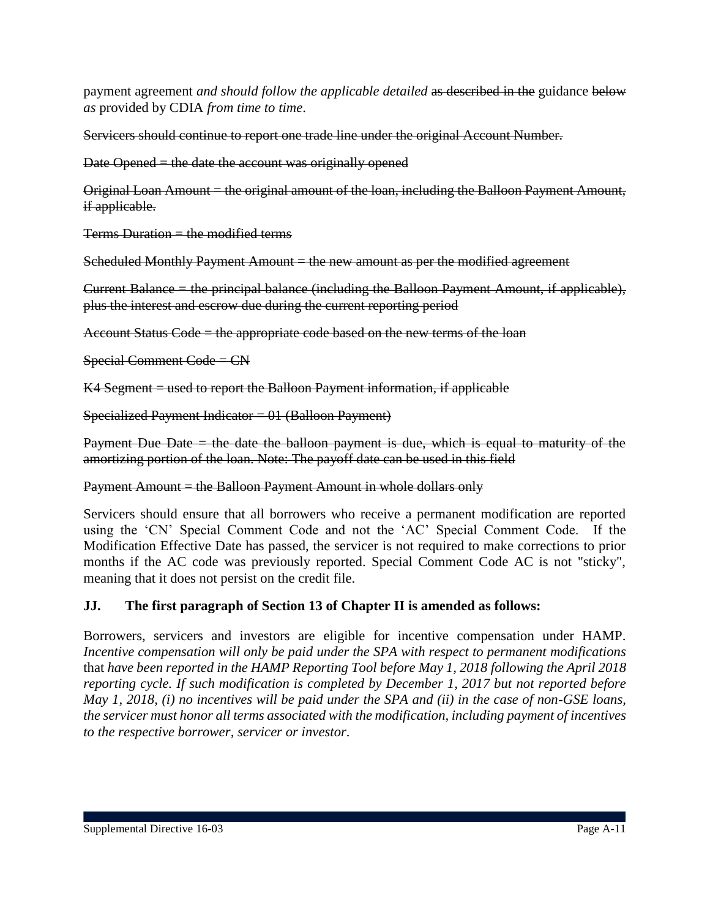payment agreement *and should follow the applicable detailed* as described in the guidance below *as* provided by CDIA *from time to time*.

Servicers should continue to report one trade line under the original Account Number.

Date Opened = the date the account was originally opened

Original Loan Amount = the original amount of the loan, including the Balloon Payment Amount, if applicable.

 $Terms$  Duration  $=$  the modified terms

Scheduled Monthly Payment Amount = the new amount as per the modified agreement

Current Balance = the principal balance (including the Balloon Payment Amount, if applicable), plus the interest and escrow due during the current reporting period

Account Status Code = the appropriate code based on the new terms of the loan

Special Comment Code = CN

 $K4$  Segment  $=$  used to report the Balloon Payment information, if applicable

Specialized Payment Indicator =  $01$  (Balloon Payment)

Payment Due Date  $=$  the date the balloon payment is due, which is equal to maturity of the amortizing portion of the loan. Note: The payoff date can be used in this field

#### Payment Amount = the Balloon Payment Amount in whole dollars only

Servicers should ensure that all borrowers who receive a permanent modification are reported using the 'CN' Special Comment Code and not the 'AC' Special Comment Code. If the Modification Effective Date has passed, the servicer is not required to make corrections to prior months if the AC code was previously reported. Special Comment Code AC is not "sticky", meaning that it does not persist on the credit file.

### **JJ. The first paragraph of Section 13 of Chapter II is amended as follows:**

Borrowers, servicers and investors are eligible for incentive compensation under HAMP. *Incentive compensation will only be paid under the SPA with respect to permanent modifications*  that *have been reported in the HAMP Reporting Tool before May 1, 2018 following the April 2018 reporting cycle. If such modification is completed by December 1, 2017 but not reported before May 1, 2018, (i) no incentives will be paid under the SPA and (ii) in the case of non-GSE loans, the servicer must honor all terms associated with the modification, including payment of incentives to the respective borrower, servicer or investor.*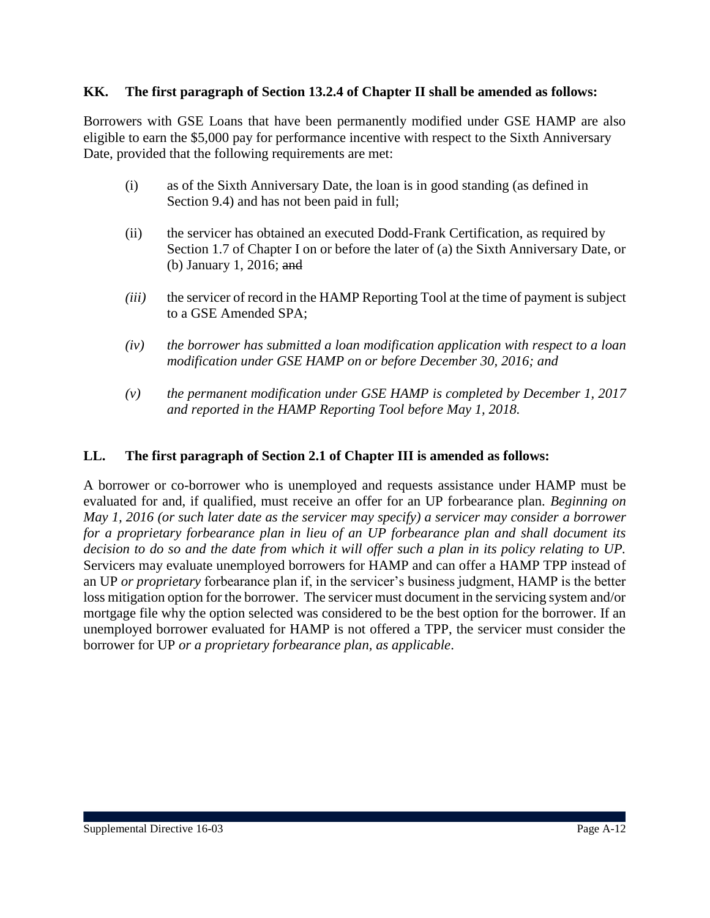#### **KK. The first paragraph of Section 13.2.4 of Chapter II shall be amended as follows:**

Borrowers with GSE Loans that have been permanently modified under GSE HAMP are also eligible to earn the \$5,000 pay for performance incentive with respect to the Sixth Anniversary Date, provided that the following requirements are met:

- (i) as of the Sixth Anniversary Date, the loan is in good standing (as defined in Section 9.4) and has not been paid in full;
- (ii) the servicer has obtained an executed Dodd-Frank Certification, as required by Section 1.7 of Chapter I on or before the later of (a) the Sixth Anniversary Date, or (b) January 1, 2016; and
- *(iii)* the servicer of record in the HAMP Reporting Tool at the time of payment is subject to a GSE Amended SPA;
- *(iv) the borrower has submitted a loan modification application with respect to a loan modification under GSE HAMP on or before December 30, 2016; and*
- *(v) the permanent modification under GSE HAMP is completed by December 1, 2017 and reported in the HAMP Reporting Tool before May 1, 2018.*

#### **LL. The first paragraph of Section 2.1 of Chapter III is amended as follows:**

A borrower or co-borrower who is unemployed and requests assistance under HAMP must be evaluated for and, if qualified, must receive an offer for an UP forbearance plan. *Beginning on May 1, 2016 (or such later date as the servicer may specify) a servicer may consider a borrower for a proprietary forbearance plan in lieu of an UP forbearance plan and shall document its decision to do so and the date from which it will offer such a plan in its policy relating to UP.* Servicers may evaluate unemployed borrowers for HAMP and can offer a HAMP TPP instead of an UP *or proprietary* forbearance plan if, in the servicer's business judgment, HAMP is the better loss mitigation option for the borrower. The servicer must document in the servicing system and/or mortgage file why the option selected was considered to be the best option for the borrower. If an unemployed borrower evaluated for HAMP is not offered a TPP, the servicer must consider the borrower for UP *or a proprietary forbearance plan, as applicable*.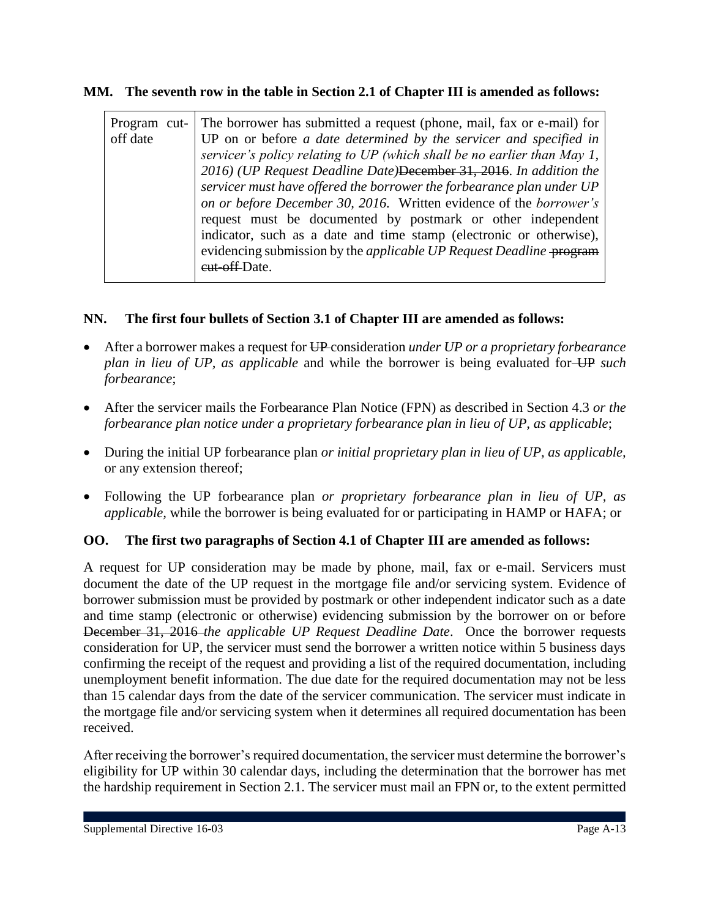### **MM. The seventh row in the table in Section 2.1 of Chapter III is amended as follows:**

| Program cut-<br>off date | The borrower has submitted a request (phone, mail, fax or e-mail) for<br>UP on or before a date determined by the servicer and specified in<br>servicer's policy relating to UP (which shall be no earlier than May 1,<br>2016) (UP Request Deadline Date) December 31, 2016. In addition the<br>servicer must have offered the borrower the forbearance plan under UP<br>on or before December 30, 2016. Written evidence of the borrower's<br>request must be documented by postmark or other independent<br>indicator, such as a date and time stamp (electronic or otherwise),<br>evidencing submission by the <i>applicable UP Request Deadline</i> program<br>eut-off-Date. |
|--------------------------|-----------------------------------------------------------------------------------------------------------------------------------------------------------------------------------------------------------------------------------------------------------------------------------------------------------------------------------------------------------------------------------------------------------------------------------------------------------------------------------------------------------------------------------------------------------------------------------------------------------------------------------------------------------------------------------|
|--------------------------|-----------------------------------------------------------------------------------------------------------------------------------------------------------------------------------------------------------------------------------------------------------------------------------------------------------------------------------------------------------------------------------------------------------------------------------------------------------------------------------------------------------------------------------------------------------------------------------------------------------------------------------------------------------------------------------|

### **NN. The first four bullets of Section 3.1 of Chapter III are amended as follows:**

- After a borrower makes a request for UP consideration *under UP or a proprietary forbearance plan in lieu of UP, as applicable* and while the borrower is being evaluated for UP *such forbearance*;
- After the servicer mails the Forbearance Plan Notice (FPN) as described in Section 4.3 *or the forbearance plan notice under a proprietary forbearance plan in lieu of UP, as applicable*;
- During the initial UP forbearance plan *or initial proprietary plan in lieu of UP, as applicable,* or any extension thereof;
- Following the UP forbearance plan *or proprietary forbearance plan in lieu of UP, as applicable,* while the borrower is being evaluated for or participating in HAMP or HAFA; or

### **OO. The first two paragraphs of Section 4.1 of Chapter III are amended as follows:**

A request for UP consideration may be made by phone, mail, fax or e-mail. Servicers must document the date of the UP request in the mortgage file and/or servicing system. Evidence of borrower submission must be provided by postmark or other independent indicator such as a date and time stamp (electronic or otherwise) evidencing submission by the borrower on or before December 31, 2016 *the applicable UP Request Deadline Date*. Once the borrower requests consideration for UP, the servicer must send the borrower a written notice within 5 business days confirming the receipt of the request and providing a list of the required documentation, including unemployment benefit information. The due date for the required documentation may not be less than 15 calendar days from the date of the servicer communication. The servicer must indicate in the mortgage file and/or servicing system when it determines all required documentation has been received.

After receiving the borrower's required documentation, the servicer must determine the borrower's eligibility for UP within 30 calendar days, including the determination that the borrower has met the hardship requirement in Section 2.1. The servicer must mail an FPN or, to the extent permitted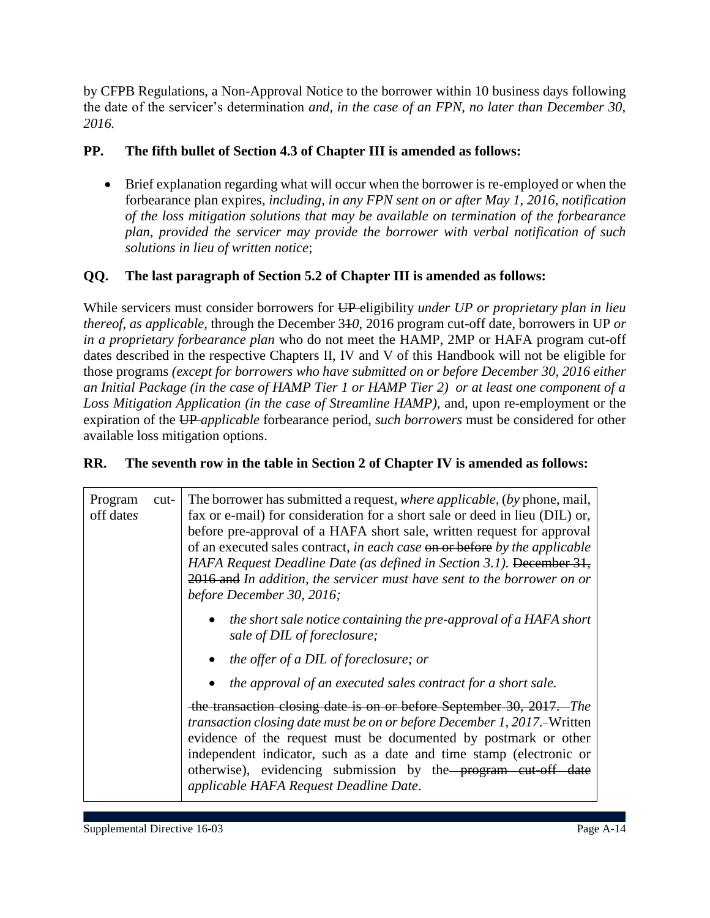by CFPB Regulations, a Non-Approval Notice to the borrower within 10 business days following the date of the servicer's determination *and, in the case of an FPN, no later than December 30, 2016.* 

### **PP. The fifth bullet of Section 4.3 of Chapter III is amended as follows:**

 Brief explanation regarding what will occur when the borrower is re-employed or when the forbearance plan expires*, including, in any FPN sent on or after May 1, 2016, notification of the loss mitigation solutions that may be available on termination of the forbearance plan, provided the servicer may provide the borrower with verbal notification of such solutions in lieu of written notice*;

### **QQ. The last paragraph of Section 5.2 of Chapter III is amended as follows:**

While servicers must consider borrowers for UP eligibility *under UP or proprietary plan in lieu thereof, as applicable,* through the December 31*0*, 2016 program cut-off date, borrowers in UP *or in a proprietary forbearance plan* who do not meet the HAMP, 2MP or HAFA program cut-off dates described in the respective Chapters II, IV and V of this Handbook will not be eligible for those programs *(except for borrowers who have submitted on or before December 30, 2016 either an Initial Package (in the case of HAMP Tier 1 or HAMP Tier 2) or at least one component of a Loss Mitigation Application (in the case of Streamline HAMP),* and, upon re-employment or the expiration of the UP *applicable* forbearance period, *such borrowers* must be considered for other available loss mitigation options.

### **RR. The seventh row in the table in Section 2 of Chapter IV is amended as follows:**

| Program<br>off dates | cut- | The borrower has submitted a request, <i>where applicable</i> , <i>(by phone, mail, mail, mail, mail, mail, mail, mail, mail, mail, mail, mail, mail, mail, mail, mail, mail, mail, mail, mail, mail, mail, mail, mail, mail, mail, ma</i><br>fax or e-mail) for consideration for a short sale or deed in lieu (DIL) or,<br>before pre-approval of a HAFA short sale, written request for approval<br>of an executed sales contract, in each case on or before by the applicable<br>HAFA Request Deadline Date (as defined in Section 3.1). December 31,<br>2016 and In addition, the servicer must have sent to the borrower on or<br>before December 30, 2016; |
|----------------------|------|-------------------------------------------------------------------------------------------------------------------------------------------------------------------------------------------------------------------------------------------------------------------------------------------------------------------------------------------------------------------------------------------------------------------------------------------------------------------------------------------------------------------------------------------------------------------------------------------------------------------------------------------------------------------|
|                      |      | the short sale notice containing the pre-approval of a HAFA short<br>sale of DIL of foreclosure;                                                                                                                                                                                                                                                                                                                                                                                                                                                                                                                                                                  |
|                      |      | • the offer of a DIL of foreclosure; or                                                                                                                                                                                                                                                                                                                                                                                                                                                                                                                                                                                                                           |
|                      |      | the approval of an executed sales contract for a short sale.                                                                                                                                                                                                                                                                                                                                                                                                                                                                                                                                                                                                      |
|                      |      | the transaction closing date is on or before September 30, 2017. The<br>transaction closing date must be on or before December 1, 2017.–Written<br>evidence of the request must be documented by postmark or other<br>independent indicator, such as a date and time stamp (electronic or<br>otherwise), evidencing submission by the program cut-off date<br>applicable HAFA Request Deadline Date.                                                                                                                                                                                                                                                              |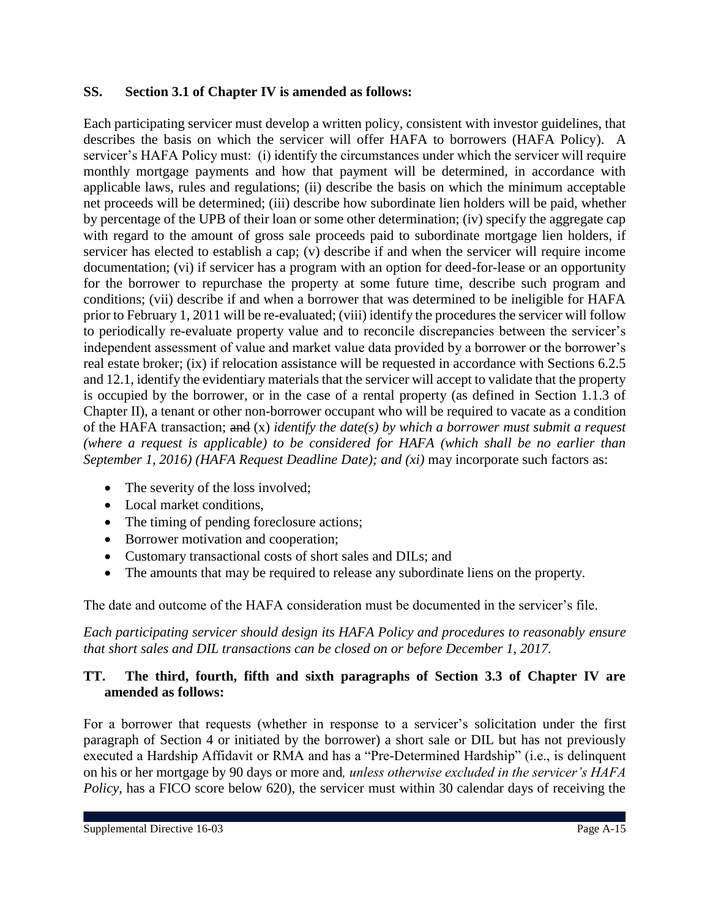#### **SS. Section 3.1 of Chapter IV is amended as follows:**

Each participating servicer must develop a written policy, consistent with investor guidelines, that describes the basis on which the servicer will offer HAFA to borrowers (HAFA Policy). A servicer's HAFA Policy must: (i) identify the circumstances under which the servicer will require monthly mortgage payments and how that payment will be determined, in accordance with applicable laws, rules and regulations; (ii) describe the basis on which the minimum acceptable net proceeds will be determined; (iii) describe how subordinate lien holders will be paid, whether by percentage of the UPB of their loan or some other determination; (iv) specify the aggregate cap with regard to the amount of gross sale proceeds paid to subordinate mortgage lien holders, if servicer has elected to establish a cap; (v) describe if and when the servicer will require income documentation; (vi) if servicer has a program with an option for deed-for-lease or an opportunity for the borrower to repurchase the property at some future time, describe such program and conditions; (vii) describe if and when a borrower that was determined to be ineligible for HAFA prior to February 1, 2011 will be re-evaluated; (viii) identify the procedures the servicer will follow to periodically re-evaluate property value and to reconcile discrepancies between the servicer's independent assessment of value and market value data provided by a borrower or the borrower's real estate broker; (ix) if relocation assistance will be requested in accordance with Sections 6.2.5 and 12.1, identify the evidentiary materials that the servicer will accept to validate that the property is occupied by the borrower, or in the case of a rental property (as defined in Section 1.1.3 of Chapter II), a tenant or other non-borrower occupant who will be required to vacate as a condition of the HAFA transaction; and (x) *identify the date(s) by which a borrower must submit a request (where a request is applicable) to be considered for HAFA (which shall be no earlier than September 1, 2016) (HAFA Request Deadline Date); and (xi)* may incorporate such factors as:

- The severity of the loss involved;
- Local market conditions.
- The timing of pending foreclosure actions;
- Borrower motivation and cooperation;
- Customary transactional costs of short sales and DILs; and
- The amounts that may be required to release any subordinate liens on the property.

The date and outcome of the HAFA consideration must be documented in the servicer's file.

*Each participating servicer should design its HAFA Policy and procedures to reasonably ensure that short sales and DIL transactions can be closed on or before December 1, 2017.*

### **TT. The third, fourth, fifth and sixth paragraphs of Section 3.3 of Chapter IV are amended as follows:**

For a borrower that requests (whether in response to a servicer's solicitation under the first paragraph of Section 4 or initiated by the borrower) a short sale or DIL but has not previously executed a Hardship Affidavit or RMA and has a "Pre-Determined Hardship" (i.e., is delinquent on his or her mortgage by 90 days or more and*, unless otherwise excluded in the servicer's HAFA Policy*, has a FICO score below 620), the servicer must within 30 calendar days of receiving the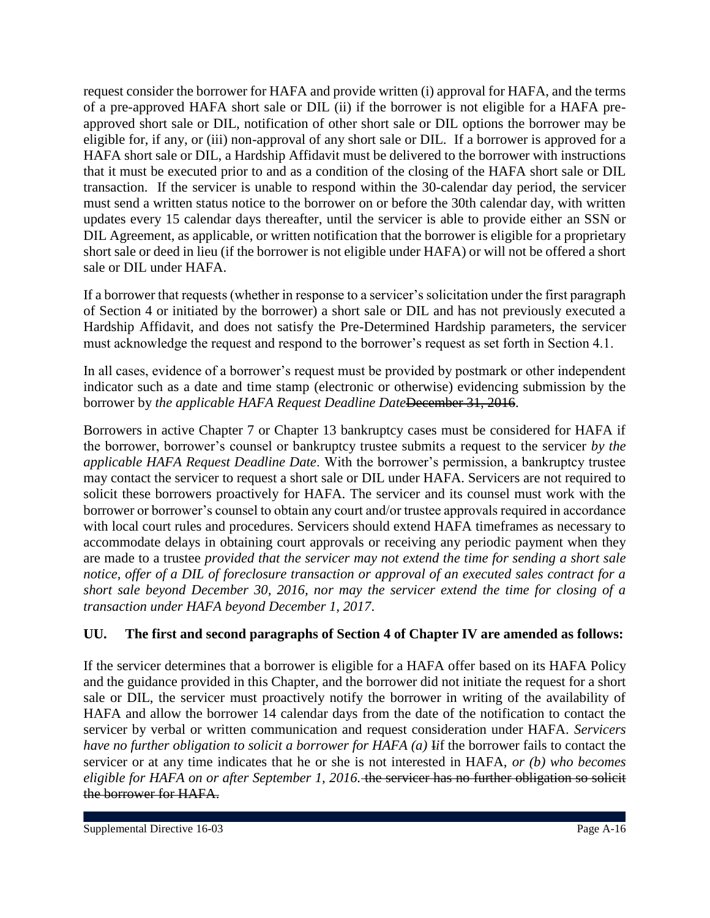request consider the borrower for HAFA and provide written (i) approval for HAFA, and the terms of a pre-approved HAFA short sale or DIL (ii) if the borrower is not eligible for a HAFA preapproved short sale or DIL, notification of other short sale or DIL options the borrower may be eligible for, if any, or (iii) non-approval of any short sale or DIL. If a borrower is approved for a HAFA short sale or DIL, a Hardship Affidavit must be delivered to the borrower with instructions that it must be executed prior to and as a condition of the closing of the HAFA short sale or DIL transaction. If the servicer is unable to respond within the 30-calendar day period, the servicer must send a written status notice to the borrower on or before the 30th calendar day, with written updates every 15 calendar days thereafter, until the servicer is able to provide either an SSN or DIL Agreement, as applicable, or written notification that the borrower is eligible for a proprietary short sale or deed in lieu (if the borrower is not eligible under HAFA) or will not be offered a short sale or DIL under HAFA.

If a borrower that requests (whether in response to a servicer's solicitation under the first paragraph of Section 4 or initiated by the borrower) a short sale or DIL and has not previously executed a Hardship Affidavit, and does not satisfy the Pre-Determined Hardship parameters, the servicer must acknowledge the request and respond to the borrower's request as set forth in Section 4.1.

In all cases, evidence of a borrower's request must be provided by postmark or other independent indicator such as a date and time stamp (electronic or otherwise) evidencing submission by the borrower by *the applicable HAFA Request Deadline Date* December 31, 2016.

Borrowers in active Chapter 7 or Chapter 13 bankruptcy cases must be considered for HAFA if the borrower, borrower's counsel or bankruptcy trustee submits a request to the servicer *by the applicable HAFA Request Deadline Date*. With the borrower's permission, a bankruptcy trustee may contact the servicer to request a short sale or DIL under HAFA. Servicers are not required to solicit these borrowers proactively for HAFA. The servicer and its counsel must work with the borrower or borrower's counsel to obtain any court and/or trustee approvals required in accordance with local court rules and procedures. Servicers should extend HAFA timeframes as necessary to accommodate delays in obtaining court approvals or receiving any periodic payment when they are made to a trustee *provided that the servicer may not extend the time for sending a short sale notice, offer of a DIL of foreclosure transaction or approval of an executed sales contract for a short sale beyond December 30, 2016, nor may the servicer extend the time for closing of a transaction under HAFA beyond December 1, 2017*.

### **UU. The first and second paragraphs of Section 4 of Chapter IV are amended as follows:**

If the servicer determines that a borrower is eligible for a HAFA offer based on its HAFA Policy and the guidance provided in this Chapter, and the borrower did not initiate the request for a short sale or DIL, the servicer must proactively notify the borrower in writing of the availability of HAFA and allow the borrower 14 calendar days from the date of the notification to contact the servicer by verbal or written communication and request consideration under HAFA. *Servicers have no further obligation to solicit a borrower for HAFA (a)* I*i*f the borrower fails to contact the servicer or at any time indicates that he or she is not interested in HAFA, *or (b) who becomes eligible for HAFA on or after September 1, 2016.* the servicer has no further obligation so solicit the borrower for HAFA.

Supplemental Directive 16-03 Page A-16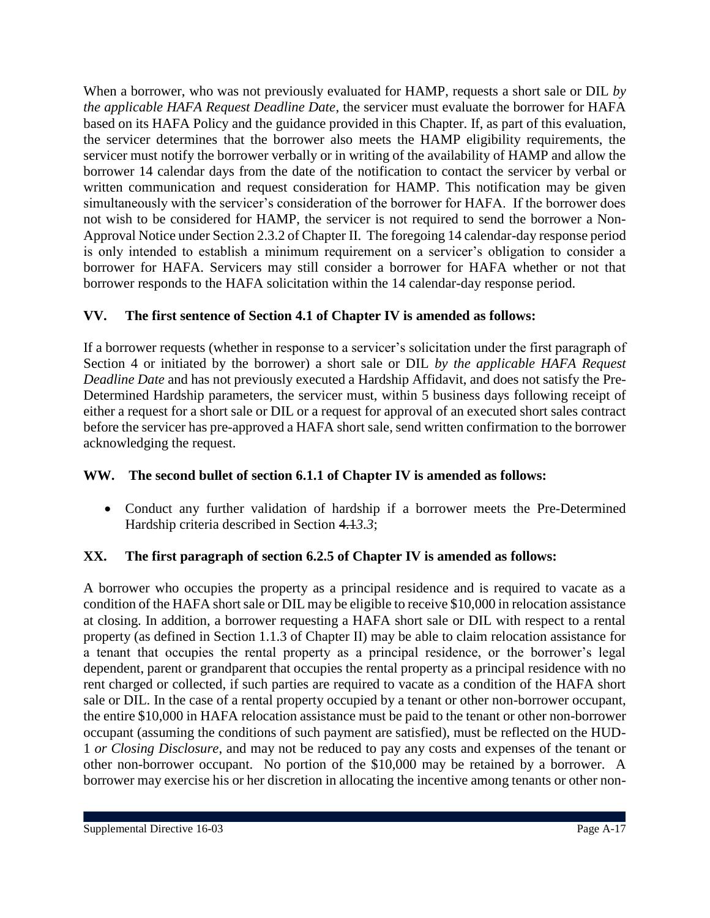When a borrower, who was not previously evaluated for HAMP, requests a short sale or DIL *by the applicable HAFA Request Deadline Date*, the servicer must evaluate the borrower for HAFA based on its HAFA Policy and the guidance provided in this Chapter. If, as part of this evaluation, the servicer determines that the borrower also meets the HAMP eligibility requirements, the servicer must notify the borrower verbally or in writing of the availability of HAMP and allow the borrower 14 calendar days from the date of the notification to contact the servicer by verbal or written communication and request consideration for HAMP. This notification may be given simultaneously with the servicer's consideration of the borrower for HAFA. If the borrower does not wish to be considered for HAMP, the servicer is not required to send the borrower a Non-Approval Notice under Section 2.3.2 of Chapter II. The foregoing 14 calendar-day response period is only intended to establish a minimum requirement on a servicer's obligation to consider a borrower for HAFA. Servicers may still consider a borrower for HAFA whether or not that borrower responds to the HAFA solicitation within the 14 calendar-day response period.

## **VV. The first sentence of Section 4.1 of Chapter IV is amended as follows:**

If a borrower requests (whether in response to a servicer's solicitation under the first paragraph of Section 4 or initiated by the borrower) a short sale or DIL *by the applicable HAFA Request Deadline Date* and has not previously executed a Hardship Affidavit, and does not satisfy the Pre-Determined Hardship parameters, the servicer must, within 5 business days following receipt of either a request for a short sale or DIL or a request for approval of an executed short sales contract before the servicer has pre-approved a HAFA short sale, send written confirmation to the borrower acknowledging the request.

### **WW. The second bullet of section 6.1.1 of Chapter IV is amended as follows:**

 Conduct any further validation of hardship if a borrower meets the Pre-Determined Hardship criteria described in Section 4.1*3.3*;

### **XX. The first paragraph of section 6.2.5 of Chapter IV is amended as follows:**

A borrower who occupies the property as a principal residence and is required to vacate as a condition of the HAFA short sale or DIL may be eligible to receive \$10,000 in relocation assistance at closing. In addition, a borrower requesting a HAFA short sale or DIL with respect to a rental property (as defined in Section 1.1.3 of Chapter II) may be able to claim relocation assistance for a tenant that occupies the rental property as a principal residence, or the borrower's legal dependent, parent or grandparent that occupies the rental property as a principal residence with no rent charged or collected, if such parties are required to vacate as a condition of the HAFA short sale or DIL. In the case of a rental property occupied by a tenant or other non-borrower occupant, the entire \$10,000 in HAFA relocation assistance must be paid to the tenant or other non-borrower occupant (assuming the conditions of such payment are satisfied), must be reflected on the HUD-1 *or Closing Disclosure*, and may not be reduced to pay any costs and expenses of the tenant or other non-borrower occupant. No portion of the \$10,000 may be retained by a borrower. A borrower may exercise his or her discretion in allocating the incentive among tenants or other non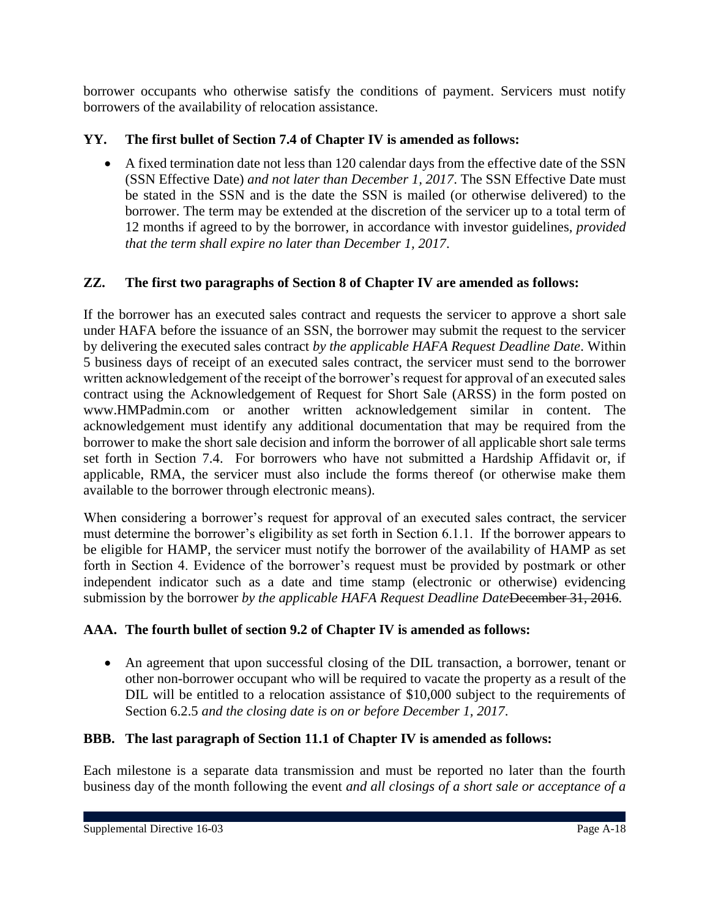borrower occupants who otherwise satisfy the conditions of payment. Servicers must notify borrowers of the availability of relocation assistance.

## **YY. The first bullet of Section 7.4 of Chapter IV is amended as follows:**

 A fixed termination date not less than 120 calendar days from the effective date of the SSN (SSN Effective Date) *and not later than December 1, 2017*. The SSN Effective Date must be stated in the SSN and is the date the SSN is mailed (or otherwise delivered) to the borrower. The term may be extended at the discretion of the servicer up to a total term of 12 months if agreed to by the borrower, in accordance with investor guidelines*, provided that the term shall expire no later than December 1, 2017*.

## **ZZ. The first two paragraphs of Section 8 of Chapter IV are amended as follows:**

If the borrower has an executed sales contract and requests the servicer to approve a short sale under HAFA before the issuance of an SSN, the borrower may submit the request to the servicer by delivering the executed sales contract *by the applicable HAFA Request Deadline Date*. Within 5 business days of receipt of an executed sales contract, the servicer must send to the borrower written acknowledgement of the receipt of the borrower's request for approval of an executed sales contract using the Acknowledgement of Request for Short Sale (ARSS) in the form posted on www.HMPadmin.com or another written acknowledgement similar in content. The acknowledgement must identify any additional documentation that may be required from the borrower to make the short sale decision and inform the borrower of all applicable short sale terms set forth in Section 7.4. For borrowers who have not submitted a Hardship Affidavit or, if applicable, RMA, the servicer must also include the forms thereof (or otherwise make them available to the borrower through electronic means).

When considering a borrower's request for approval of an executed sales contract, the servicer must determine the borrower's eligibility as set forth in Section 6.1.1. If the borrower appears to be eligible for HAMP, the servicer must notify the borrower of the availability of HAMP as set forth in Section 4. Evidence of the borrower's request must be provided by postmark or other independent indicator such as a date and time stamp (electronic or otherwise) evidencing submission by the borrower *by the applicable HAFA Request Deadline Date*December 31, 2016.

## **AAA. The fourth bullet of section 9.2 of Chapter IV is amended as follows:**

 An agreement that upon successful closing of the DIL transaction, a borrower, tenant or other non-borrower occupant who will be required to vacate the property as a result of the DIL will be entitled to a relocation assistance of \$10,000 subject to the requirements of Section 6.2.5 *and the closing date is on or before December 1, 2017*.

## **BBB. The last paragraph of Section 11.1 of Chapter IV is amended as follows:**

Each milestone is a separate data transmission and must be reported no later than the fourth business day of the month following the event *and all closings of a short sale or acceptance of a*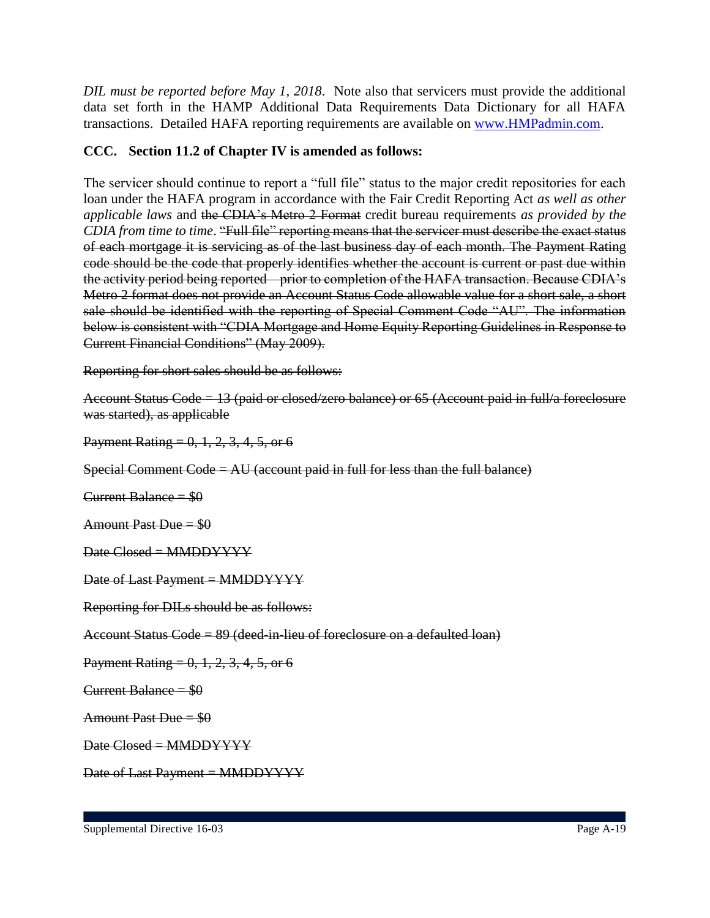*DIL must be reported before May 1, 2018*. Note also that servicers must provide the additional data set forth in the HAMP Additional Data Requirements Data Dictionary for all HAFA transactions. Detailed HAFA reporting requirements are available on www.HMPadmin.com.

### **CCC. Section 11.2 of Chapter IV is amended as follows:**

The servicer should continue to report a "full file" status to the major credit repositories for each loan under the HAFA program in accordance with the Fair Credit Reporting Act *as well as other applicable laws* and the CDIA's Metro 2 Format credit bureau requirements *as provided by the CDIA from time to time*. "Full file" reporting means that the servicer must describe the exact status of each mortgage it is servicing as of the last business day of each month. The Payment Rating code should be the code that properly identifies whether the account is current or past due within the activity period being reported – prior to completion of the HAFA transaction. Because CDIA's Metro 2 format does not provide an Account Status Code allowable value for a short sale, a short sale should be identified with the reporting of Special Comment Code "AU". The information below is consistent with "CDIA Mortgage and Home Equity Reporting Guidelines in Response to Current Financial Conditions" (May 2009).

Reporting for short sales should be as follows:

Account Status Code = 13 (paid or closed/zero balance) or 65 (Account paid in full/a foreclosure was started), as applicable

Payment Rating =  $0, 1, 2, 3, 4, 5$ , or 6

Special Comment Code = AU (account paid in full for less than the full balance)

Current Balance  $= $0$ 

Amount Past Due = \$0

 $Date Closed = MMDDYYYY$ 

Date of Last Payment = MMDDYYYY

Reporting for DILs should be as follows:

Account Status Code = 89 (deed-in-lieu of foreclosure on a defaulted loan)

Payment Rating =  $0, 1, 2, 3, 4, 5$ , or 6

Current Balance  $= $0$ 

Amount Past Due  $= $0$ 

Date Closed = MMDDYYYY

Date of Last Payment = MMDDYYYY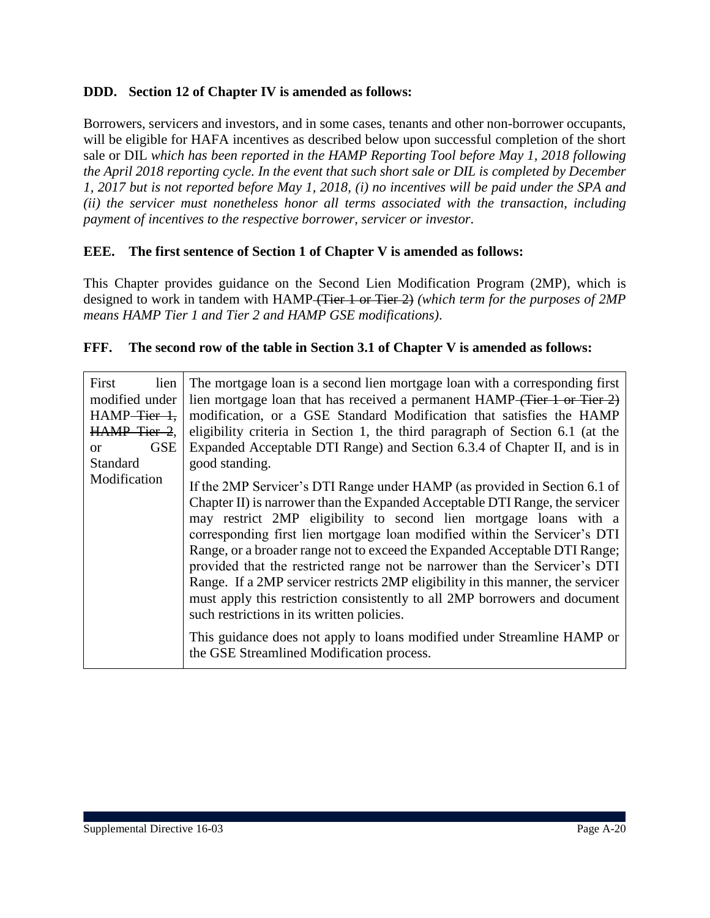### **DDD. Section 12 of Chapter IV is amended as follows:**

Borrowers, servicers and investors, and in some cases, tenants and other non-borrower occupants, will be eligible for HAFA incentives as described below upon successful completion of the short sale or DIL *which has been reported in the HAMP Reporting Tool before May 1, 2018 following the April 2018 reporting cycle. In the event that such short sale or DIL is completed by December 1, 2017 but is not reported before May 1, 2018, (i) no incentives will be paid under the SPA and (ii) the servicer must nonetheless honor all terms associated with the transaction, including payment of incentives to the respective borrower, servicer or investor.*

#### **EEE. The first sentence of Section 1 of Chapter V is amended as follows:**

This Chapter provides guidance on the Second Lien Modification Program (2MP), which is designed to work in tandem with HAMP (Tier 1 or Tier 2) *(which term for the purposes of 2MP means HAMP Tier 1 and Tier 2 and HAMP GSE modifications)*.

#### **FFF. The second row of the table in Section 3.1 of Chapter V is amended as follows:**

| First<br>lien<br>modified under<br>$HAMP\text{-}\overline{\text{Fier-1}}$ ,<br>HAMP Tier 2.<br><b>GSE</b><br>$\alpha$<br><b>Standard</b><br>Modification | The mortgage loan is a second lien mortgage loan with a corresponding first<br>lien mortgage loan that has received a permanent HAMP (Tier 1 or Tier 2)<br>modification, or a GSE Standard Modification that satisfies the HAMP<br>eligibility criteria in Section 1, the third paragraph of Section 6.1 (at the<br>Expanded Acceptable DTI Range) and Section 6.3.4 of Chapter II, and is in<br>good standing.                                                                                                                                                                                                                                                                                                                                                                                                |
|----------------------------------------------------------------------------------------------------------------------------------------------------------|----------------------------------------------------------------------------------------------------------------------------------------------------------------------------------------------------------------------------------------------------------------------------------------------------------------------------------------------------------------------------------------------------------------------------------------------------------------------------------------------------------------------------------------------------------------------------------------------------------------------------------------------------------------------------------------------------------------------------------------------------------------------------------------------------------------|
|                                                                                                                                                          | If the 2MP Servicer's DTI Range under HAMP (as provided in Section 6.1 of<br>Chapter II) is narrower than the Expanded Acceptable DTI Range, the servicer<br>may restrict 2MP eligibility to second lien mortgage loans with a<br>corresponding first lien mortgage loan modified within the Servicer's DTI<br>Range, or a broader range not to exceed the Expanded Acceptable DTI Range;<br>provided that the restricted range not be narrower than the Servicer's DTI<br>Range. If a 2MP servicer restricts 2MP eligibility in this manner, the servicer<br>must apply this restriction consistently to all 2MP borrowers and document<br>such restrictions in its written policies.<br>This guidance does not apply to loans modified under Streamline HAMP or<br>the GSE Streamlined Modification process. |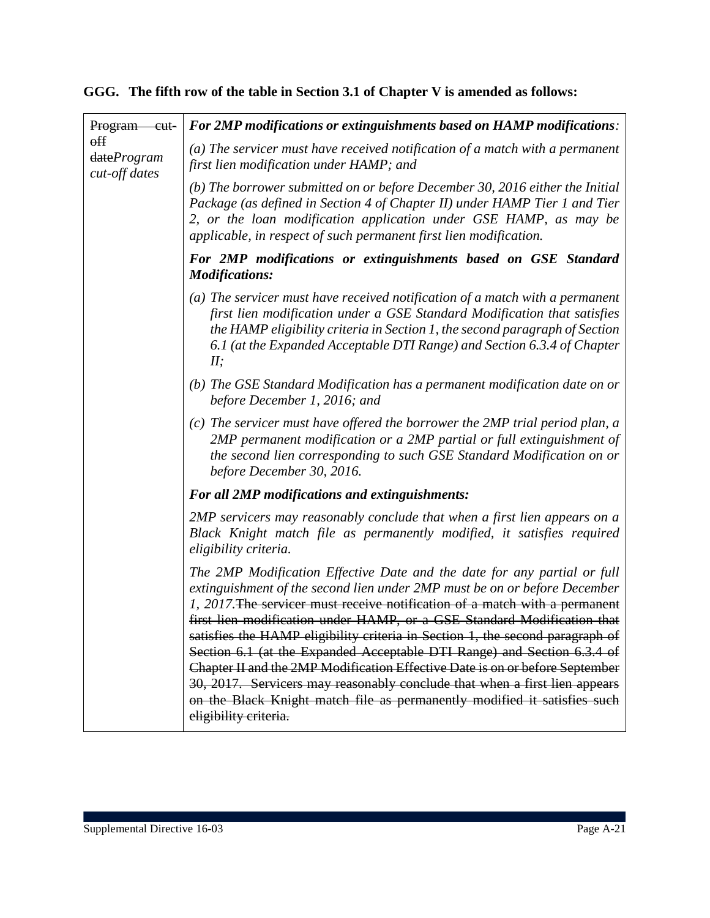# **GGG. The fifth row of the table in Section 3.1 of Chapter V is amended as follows:**

| <b>Program</b><br>-cut-                         | For 2MP modifications or extinguishments based on HAMP modifications:                                                                                                                                                                                                                                                                                                                                                                                                                                                                                                                                                                                                                                                                          |
|-------------------------------------------------|------------------------------------------------------------------------------------------------------------------------------------------------------------------------------------------------------------------------------------------------------------------------------------------------------------------------------------------------------------------------------------------------------------------------------------------------------------------------------------------------------------------------------------------------------------------------------------------------------------------------------------------------------------------------------------------------------------------------------------------------|
| $_{\text{eff}}$<br>dateProgram<br>cut-off dates | $(a)$ The servicer must have received notification of a match with a permanent<br>first lien modification under HAMP; and                                                                                                                                                                                                                                                                                                                                                                                                                                                                                                                                                                                                                      |
|                                                 | (b) The borrower submitted on or before December 30, 2016 either the Initial<br>Package (as defined in Section 4 of Chapter II) under HAMP Tier 1 and Tier<br>2, or the loan modification application under GSE HAMP, as may be<br>applicable, in respect of such permanent first lien modification.                                                                                                                                                                                                                                                                                                                                                                                                                                           |
|                                                 | For 2MP modifications or extinguishments based on GSE Standard<br><b>Modifications:</b>                                                                                                                                                                                                                                                                                                                                                                                                                                                                                                                                                                                                                                                        |
|                                                 | (a) The servicer must have received notification of a match with a permanent<br>first lien modification under a GSE Standard Modification that satisfies<br>the HAMP eligibility criteria in Section 1, the second paragraph of Section<br>6.1 (at the Expanded Acceptable DTI Range) and Section 6.3.4 of Chapter<br>II;                                                                                                                                                                                                                                                                                                                                                                                                                      |
|                                                 | (b) The GSE Standard Modification has a permanent modification date on or<br>before December 1, 2016; and                                                                                                                                                                                                                                                                                                                                                                                                                                                                                                                                                                                                                                      |
|                                                 | $(c)$ The servicer must have offered the borrower the 2MP trial period plan, a<br>2MP permanent modification or a 2MP partial or full extinguishment of<br>the second lien corresponding to such GSE Standard Modification on or<br>before December 30, 2016.                                                                                                                                                                                                                                                                                                                                                                                                                                                                                  |
|                                                 | <b>For all 2MP modifications and extinguishments:</b>                                                                                                                                                                                                                                                                                                                                                                                                                                                                                                                                                                                                                                                                                          |
|                                                 | 2MP servicers may reasonably conclude that when a first lien appears on a<br>Black Knight match file as permanently modified, it satisfies required<br>eligibility criteria.                                                                                                                                                                                                                                                                                                                                                                                                                                                                                                                                                                   |
|                                                 | The 2MP Modification Effective Date and the date for any partial or full<br>extinguishment of the second lien under 2MP must be on or before December<br>1, 2017. The servicer must receive notification of a match with a permanent<br>first lien modification under HAMP, or a GSE Standard Modification that<br>satisfies the HAMP eligibility criteria in Section 1, the second paragraph of<br>Section 6.1 (at the Expanded Acceptable DTI Range) and Section 6.3.4 of<br>Chapter II and the 2MP Modification Effective Date is on or before September<br>30, 2017. Servicers may reasonably conclude that when a first lien appears<br>on the Black Knight match file as permanently modified it satisfies such<br>eligibility criteria. |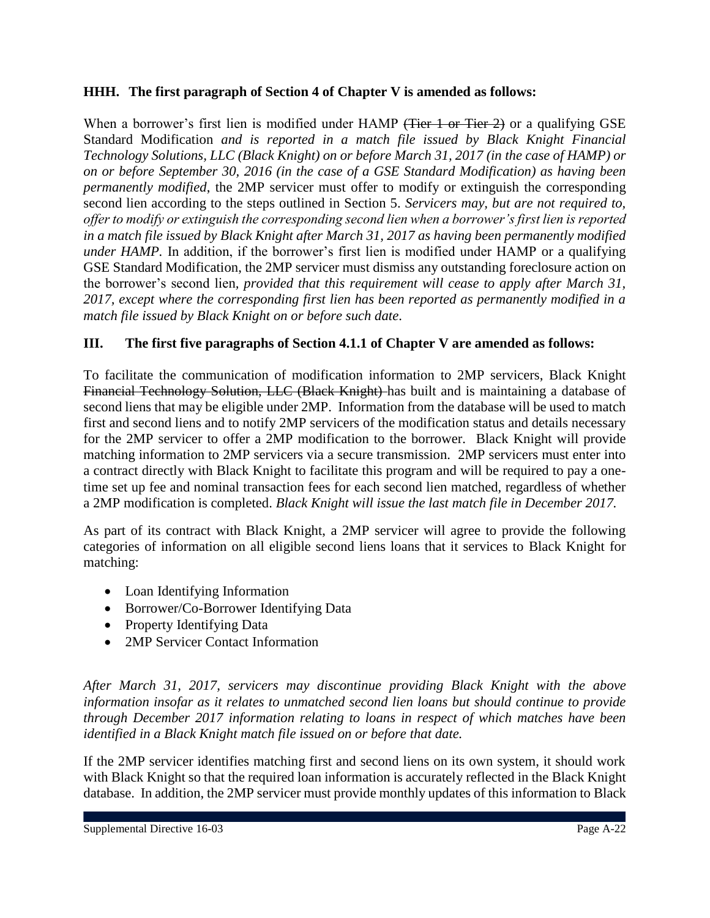### **HHH. The first paragraph of Section 4 of Chapter V is amended as follows:**

When a borrower's first lien is modified under HAMP (Tier 1 or Tier 2) or a qualifying GSE Standard Modification *and is reported in a match file issued by Black Knight Financial Technology Solutions, LLC (Black Knight) on or before March 31, 2017 (in the case of HAMP) or on or before September 30, 2016 (in the case of a GSE Standard Modification) as having been permanently modified*, the 2MP servicer must offer to modify or extinguish the corresponding second lien according to the steps outlined in Section 5. *Servicers may, but are not required to, offer to modify or extinguish the corresponding second lien when a borrower's first lien is reported in a match file issued by Black Knight after March 31, 2017 as having been permanently modified under HAMP*. In addition, if the borrower's first lien is modified under HAMP or a qualifying GSE Standard Modification, the 2MP servicer must dismiss any outstanding foreclosure action on the borrower's second lien*, provided that this requirement will cease to apply after March 31, 2017, except where the corresponding first lien has been reported as permanently modified in a match file issued by Black Knight on or before such date*.

### **III. The first five paragraphs of Section 4.1.1 of Chapter V are amended as follows:**

To facilitate the communication of modification information to 2MP servicers, Black Knight Financial Technology Solution, LLC (Black Knight) has built and is maintaining a database of second liens that may be eligible under 2MP. Information from the database will be used to match first and second liens and to notify 2MP servicers of the modification status and details necessary for the 2MP servicer to offer a 2MP modification to the borrower. Black Knight will provide matching information to 2MP servicers via a secure transmission. 2MP servicers must enter into a contract directly with Black Knight to facilitate this program and will be required to pay a onetime set up fee and nominal transaction fees for each second lien matched, regardless of whether a 2MP modification is completed. *Black Knight will issue the last match file in December 2017.*

As part of its contract with Black Knight, a 2MP servicer will agree to provide the following categories of information on all eligible second liens loans that it services to Black Knight for matching:

- Loan Identifying Information
- Borrower/Co-Borrower Identifying Data
- Property Identifying Data
- 2MP Servicer Contact Information

*After March 31, 2017, servicers may discontinue providing Black Knight with the above information insofar as it relates to unmatched second lien loans but should continue to provide through December 2017 information relating to loans in respect of which matches have been identified in a Black Knight match file issued on or before that date.*

If the 2MP servicer identifies matching first and second liens on its own system, it should work with Black Knight so that the required loan information is accurately reflected in the Black Knight database. In addition, the 2MP servicer must provide monthly updates of this information to Black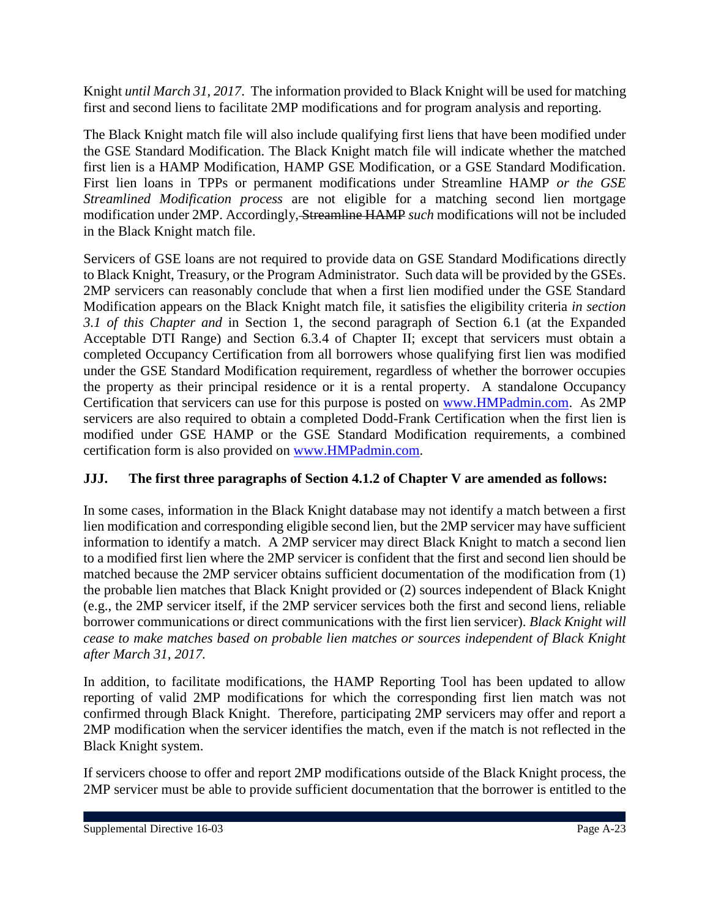Knight *until March 31, 2017*. The information provided to Black Knight will be used for matching first and second liens to facilitate 2MP modifications and for program analysis and reporting.

The Black Knight match file will also include qualifying first liens that have been modified under the GSE Standard Modification. The Black Knight match file will indicate whether the matched first lien is a HAMP Modification, HAMP GSE Modification, or a GSE Standard Modification. First lien loans in TPPs or permanent modifications under Streamline HAMP *or the GSE Streamlined Modification process* are not eligible for a matching second lien mortgage modification under 2MP. Accordingly, Streamline HAMP *such* modifications will not be included in the Black Knight match file.

Servicers of GSE loans are not required to provide data on GSE Standard Modifications directly to Black Knight, Treasury, or the Program Administrator. Such data will be provided by the GSEs. 2MP servicers can reasonably conclude that when a first lien modified under the GSE Standard Modification appears on the Black Knight match file, it satisfies the eligibility criteria *in section 3.1 of this Chapter and* in Section 1, the second paragraph of Section 6.1 (at the Expanded Acceptable DTI Range) and Section 6.3.4 of Chapter II; except that servicers must obtain a completed Occupancy Certification from all borrowers whose qualifying first lien was modified under the GSE Standard Modification requirement, regardless of whether the borrower occupies the property as their principal residence or it is a rental property. A standalone Occupancy Certification that servicers can use for this purpose is posted on [www.HMPadmin.com.](http://www.hmpadmin.com/) As 2MP servicers are also required to obtain a completed Dodd-Frank Certification when the first lien is modified under GSE HAMP or the GSE Standard Modification requirements, a combined certification form is also provided on [www.HMPadmin.com.](http://www.hmpadmin.com/)

## **JJJ. The first three paragraphs of Section 4.1.2 of Chapter V are amended as follows:**

In some cases, information in the Black Knight database may not identify a match between a first lien modification and corresponding eligible second lien, but the 2MP servicer may have sufficient information to identify a match. A 2MP servicer may direct Black Knight to match a second lien to a modified first lien where the 2MP servicer is confident that the first and second lien should be matched because the 2MP servicer obtains sufficient documentation of the modification from (1) the probable lien matches that Black Knight provided or (2) sources independent of Black Knight (e.g., the 2MP servicer itself, if the 2MP servicer services both the first and second liens, reliable borrower communications or direct communications with the first lien servicer). *Black Knight will cease to make matches based on probable lien matches or sources independent of Black Knight after March 31, 2017.*

In addition, to facilitate modifications, the HAMP Reporting Tool has been updated to allow reporting of valid 2MP modifications for which the corresponding first lien match was not confirmed through Black Knight. Therefore, participating 2MP servicers may offer and report a 2MP modification when the servicer identifies the match, even if the match is not reflected in the Black Knight system.

If servicers choose to offer and report 2MP modifications outside of the Black Knight process, the 2MP servicer must be able to provide sufficient documentation that the borrower is entitled to the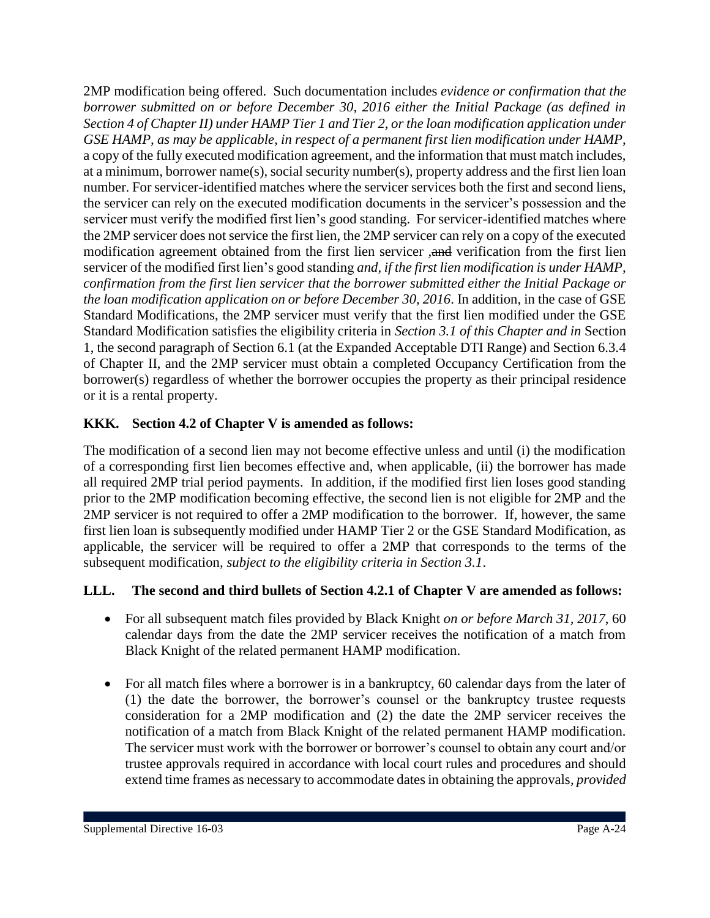2MP modification being offered. Such documentation includes *evidence or confirmation that the borrower submitted on or before December 30, 2016 either the Initial Package (as defined in Section 4 of Chapter II) under HAMP Tier 1 and Tier 2, or the loan modification application under GSE HAMP, as may be applicable, in respect of a permanent first lien modification under HAMP,* a copy of the fully executed modification agreement, and the information that must match includes, at a minimum, borrower name(s), social security number(s), property address and the first lien loan number. For servicer-identified matches where the servicer services both the first and second liens, the servicer can rely on the executed modification documents in the servicer's possession and the servicer must verify the modified first lien's good standing. For servicer-identified matches where the 2MP servicer does not service the first lien, the 2MP servicer can rely on a copy of the executed modification agreement obtained from the first lien servicer *,*and verification from the first lien servicer of the modified first lien's good standing *and, if the first lien modification is under HAMP, confirmation from the first lien servicer that the borrower submitted either the Initial Package or the loan modification application on or before December 30, 2016*. In addition, in the case of GSE Standard Modifications, the 2MP servicer must verify that the first lien modified under the GSE Standard Modification satisfies the eligibility criteria in *Section 3.1 of this Chapter and in* Section 1, the second paragraph of Section 6.1 (at the Expanded Acceptable DTI Range) and Section 6.3.4 of Chapter II, and the 2MP servicer must obtain a completed Occupancy Certification from the borrower(s) regardless of whether the borrower occupies the property as their principal residence or it is a rental property.

### **KKK. Section 4.2 of Chapter V is amended as follows:**

The modification of a second lien may not become effective unless and until (i) the modification of a corresponding first lien becomes effective and, when applicable, (ii) the borrower has made all required 2MP trial period payments. In addition, if the modified first lien loses good standing prior to the 2MP modification becoming effective, the second lien is not eligible for 2MP and the 2MP servicer is not required to offer a 2MP modification to the borrower. If, however, the same first lien loan is subsequently modified under HAMP Tier 2 or the GSE Standard Modification, as applicable, the servicer will be required to offer a 2MP that corresponds to the terms of the subsequent modification*, subject to the eligibility criteria in Section 3.1*.

### **LLL. The second and third bullets of Section 4.2.1 of Chapter V are amended as follows:**

- For all subsequent match files provided by Black Knight *on or before March 31, 2017*, 60 calendar days from the date the 2MP servicer receives the notification of a match from Black Knight of the related permanent HAMP modification.
- For all match files where a borrower is in a bankruptcy, 60 calendar days from the later of (1) the date the borrower, the borrower's counsel or the bankruptcy trustee requests consideration for a 2MP modification and (2) the date the 2MP servicer receives the notification of a match from Black Knight of the related permanent HAMP modification. The servicer must work with the borrower or borrower's counsel to obtain any court and/or trustee approvals required in accordance with local court rules and procedures and should extend time frames as necessary to accommodate dates in obtaining the approvals*, provided*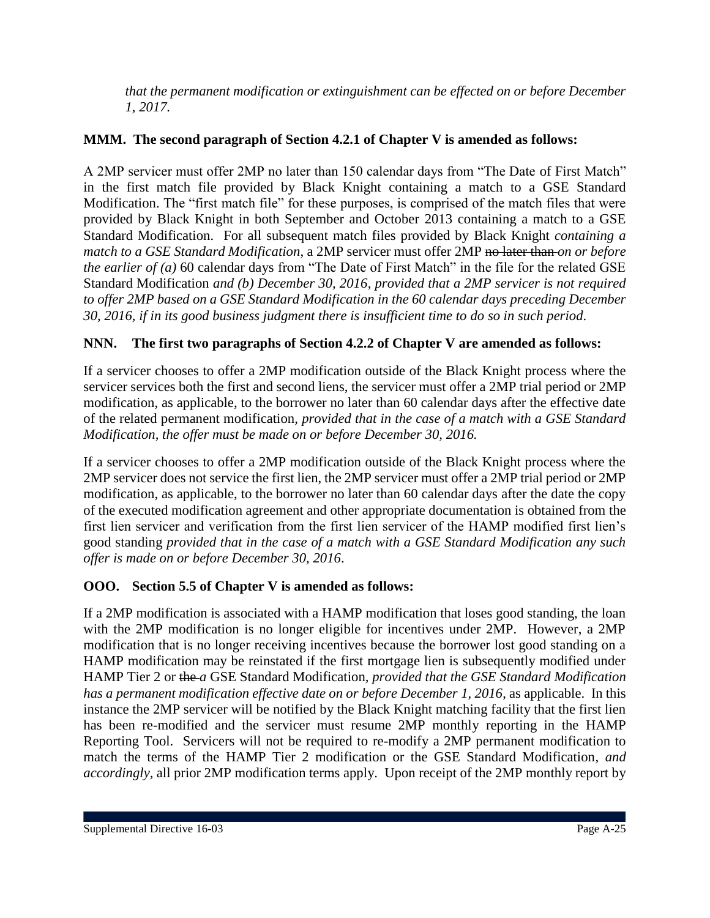*that the permanent modification or extinguishment can be effected on or before December 1, 2017.*

## **MMM. The second paragraph of Section 4.2.1 of Chapter V is amended as follows:**

A 2MP servicer must offer 2MP no later than 150 calendar days from "The Date of First Match" in the first match file provided by Black Knight containing a match to a GSE Standard Modification. The "first match file" for these purposes, is comprised of the match files that were provided by Black Knight in both September and October 2013 containing a match to a GSE Standard Modification. For all subsequent match files provided by Black Knight *containing a match to a GSE Standard Modification*, a 2MP servicer must offer 2MP no later than *on or before the earlier of (a)* 60 calendar days from "The Date of First Match" in the file for the related GSE Standard Modification *and (b) December 30, 2016, provided that a 2MP servicer is not required to offer 2MP based on a GSE Standard Modification in the 60 calendar days preceding December 30, 2016, if in its good business judgment there is insufficient time to do so in such period*.

## **NNN. The first two paragraphs of Section 4.2.2 of Chapter V are amended as follows:**

If a servicer chooses to offer a 2MP modification outside of the Black Knight process where the servicer services both the first and second liens, the servicer must offer a 2MP trial period or 2MP modification, as applicable, to the borrower no later than 60 calendar days after the effective date of the related permanent modification*, provided that in the case of a match with a GSE Standard Modification, the offer must be made on or before December 30, 2016.* 

If a servicer chooses to offer a 2MP modification outside of the Black Knight process where the 2MP servicer does not service the first lien, the 2MP servicer must offer a 2MP trial period or 2MP modification, as applicable, to the borrower no later than 60 calendar days after the date the copy of the executed modification agreement and other appropriate documentation is obtained from the first lien servicer and verification from the first lien servicer of the HAMP modified first lien's good standing *provided that in the case of a match with a GSE Standard Modification any such offer is made on or before December 30, 2016*.

### **OOO. Section 5.5 of Chapter V is amended as follows:**

If a 2MP modification is associated with a HAMP modification that loses good standing, the loan with the 2MP modification is no longer eligible for incentives under 2MP. However, a 2MP modification that is no longer receiving incentives because the borrower lost good standing on a HAMP modification may be reinstated if the first mortgage lien is subsequently modified under HAMP Tier 2 or the *a* GSE Standard Modification*, provided that the GSE Standard Modification has a permanent modification effective date on or before December 1, 2016*, as applicable. In this instance the 2MP servicer will be notified by the Black Knight matching facility that the first lien has been re-modified and the servicer must resume 2MP monthly reporting in the HAMP Reporting Tool. Servicers will not be required to re-modify a 2MP permanent modification to match the terms of the HAMP Tier 2 modification or the GSE Standard Modification*, and accordingly*, all prior 2MP modification terms apply. Upon receipt of the 2MP monthly report by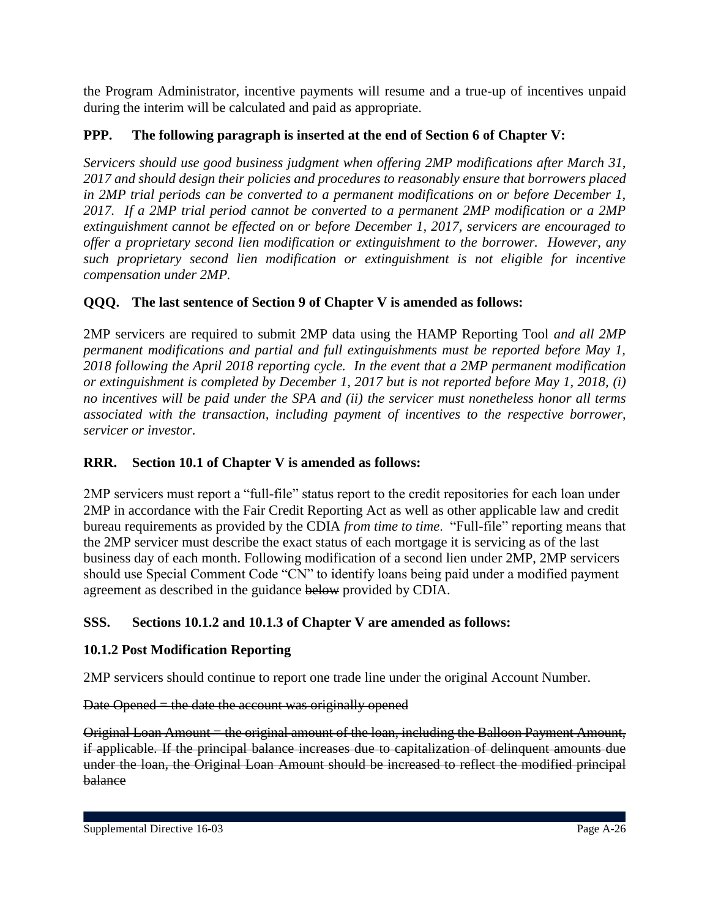the Program Administrator, incentive payments will resume and a true-up of incentives unpaid during the interim will be calculated and paid as appropriate.

## **PPP. The following paragraph is inserted at the end of Section 6 of Chapter V:**

*Servicers should use good business judgment when offering 2MP modifications after March 31, 2017 and should design their policies and procedures to reasonably ensure that borrowers placed in 2MP trial periods can be converted to a permanent modifications on or before December 1, 2017. If a 2MP trial period cannot be converted to a permanent 2MP modification or a 2MP extinguishment cannot be effected on or before December 1, 2017, servicers are encouraged to offer a proprietary second lien modification or extinguishment to the borrower. However, any such proprietary second lien modification or extinguishment is not eligible for incentive compensation under 2MP.*

## **QQQ. The last sentence of Section 9 of Chapter V is amended as follows:**

2MP servicers are required to submit 2MP data using the HAMP Reporting Tool *and all 2MP permanent modifications and partial and full extinguishments must be reported before May 1, 2018 following the April 2018 reporting cycle. In the event that a 2MP permanent modification or extinguishment is completed by December 1, 2017 but is not reported before May 1, 2018, (i) no incentives will be paid under the SPA and (ii) the servicer must nonetheless honor all terms associated with the transaction, including payment of incentives to the respective borrower, servicer or investor.*

## **RRR. Section 10.1 of Chapter V is amended as follows:**

2MP servicers must report a "full-file" status report to the credit repositories for each loan under 2MP in accordance with the Fair Credit Reporting Act as well as other applicable law and credit bureau requirements as provided by the CDIA *from time to time*. "Full-file" reporting means that the 2MP servicer must describe the exact status of each mortgage it is servicing as of the last business day of each month. Following modification of a second lien under 2MP, 2MP servicers should use Special Comment Code "CN" to identify loans being paid under a modified payment agreement as described in the guidance below provided by CDIA.

## **SSS. Sections 10.1.2 and 10.1.3 of Chapter V are amended as follows:**

### **10.1.2 Post Modification Reporting**

2MP servicers should continue to report one trade line under the original Account Number.

Date Opened  $=$  the date the account was originally opened

Original Loan Amount = the original amount of the loan, including the Balloon Payment Amount, if applicable. If the principal balance increases due to capitalization of delinquent amounts due under the loan, the Original Loan Amount should be increased to reflect the modified principal balance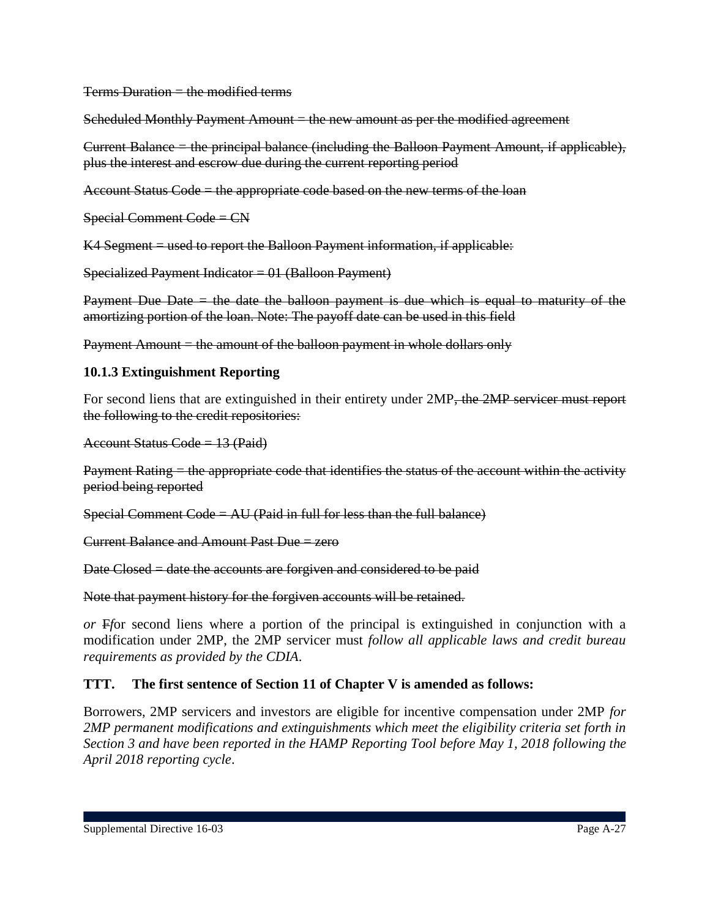$Terms$  Duration  $=$  the modified terms

Scheduled Monthly Payment Amount = the new amount as per the modified agreement

Current Balance = the principal balance (including the Balloon Payment Amount, if applicable), plus the interest and escrow due during the current reporting period

Account Status Code = the appropriate code based on the new terms of the loan

Special Comment Code = CN

K4 Segment = used to report the Balloon Payment information, if applicable:

Specialized Payment Indicator =  $01$  (Balloon Payment)

Payment Due Date  $=$  the date the balloon payment is due which is equal to maturity of the amortizing portion of the loan. Note: The payoff date can be used in this field

Payment Amount  $=$  the amount of the balloon payment in whole dollars only

#### **10.1.3 Extinguishment Reporting**

For second liens that are extinguished in their entirety under 2MP<del>, the 2MP servicer must report</del> the following to the credit repositories:

 $A$ ccount Status Code = 13 (Paid)

Payment Rating  $=$  the appropriate code that identifies the status of the account within the activity period being reported

Special Comment Code =  $AU$  (Paid in full for less than the full balance)

Current Balance and Amount Past Due = zero

Date Closed = date the accounts are forgiven and considered to be paid

Note that payment history for the forgiven accounts will be retained.

*or* F*f*or second liens where a portion of the principal is extinguished in conjunction with a modification under 2MP, the 2MP servicer must *follow all applicable laws and credit bureau requirements as provided by the CDIA*.

### **TTT. The first sentence of Section 11 of Chapter V is amended as follows:**

Borrowers, 2MP servicers and investors are eligible for incentive compensation under 2MP *for 2MP permanent modifications and extinguishments which meet the eligibility criteria set forth in Section 3 and have been reported in the HAMP Reporting Tool before May 1, 2018 following the April 2018 reporting cycle*.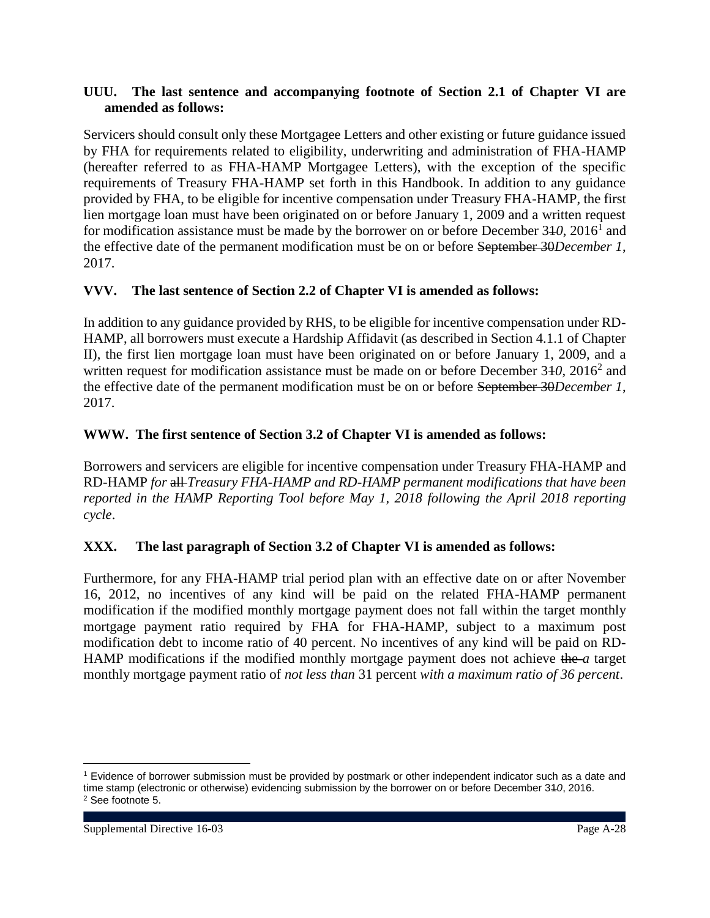#### **UUU. The last sentence and accompanying footnote of Section 2.1 of Chapter VI are amended as follows:**

Servicers should consult only these Mortgagee Letters and other existing or future guidance issued by FHA for requirements related to eligibility, underwriting and administration of FHA-HAMP (hereafter referred to as FHA-HAMP Mortgagee Letters), with the exception of the specific requirements of Treasury FHA-HAMP set forth in this Handbook. In addition to any guidance provided by FHA, to be eligible for incentive compensation under Treasury FHA-HAMP, the first lien mortgage loan must have been originated on or before January 1, 2009 and a written request for modification assistance must be made by the borrower on or before December 340, 2016<sup>1</sup> and the effective date of the permanent modification must be on or before September 30*December 1*, 2017.

### **VVV. The last sentence of Section 2.2 of Chapter VI is amended as follows:**

In addition to any guidance provided by RHS, to be eligible for incentive compensation under RD-HAMP, all borrowers must execute a Hardship Affidavit (as described in Section 4.1.1 of Chapter II), the first lien mortgage loan must have been originated on or before January 1, 2009, and a written request for modification assistance must be made on or before December 340, 2016<sup>2</sup> and the effective date of the permanent modification must be on or before September 30*December 1*, 2017.

### **WWW. The first sentence of Section 3.2 of Chapter VI is amended as follows:**

Borrowers and servicers are eligible for incentive compensation under Treasury FHA-HAMP and RD-HAMP *for* all *Treasury FHA-HAMP and RD-HAMP permanent modifications that have been reported in the HAMP Reporting Tool before May 1, 2018 following the April 2018 reporting cycle*.

### **XXX. The last paragraph of Section 3.2 of Chapter VI is amended as follows:**

Furthermore, for any FHA-HAMP trial period plan with an effective date on or after November 16, 2012, no incentives of any kind will be paid on the related FHA-HAMP permanent modification if the modified monthly mortgage payment does not fall within the target monthly mortgage payment ratio required by FHA for FHA-HAMP, subject to a maximum post modification debt to income ratio of 40 percent. No incentives of any kind will be paid on RD-HAMP modifications if the modified monthly mortgage payment does not achieve the *a* target monthly mortgage payment ratio of *not less than* 31 percent *with a maximum ratio of 36 percent*.

 $\overline{a}$ 

<sup>1</sup> Evidence of borrower submission must be provided by postmark or other independent indicator such as a date and time stamp (electronic or otherwise) evidencing submission by the borrower on or before December 31*0*, 2016. <sup>2</sup> See footnote 5.